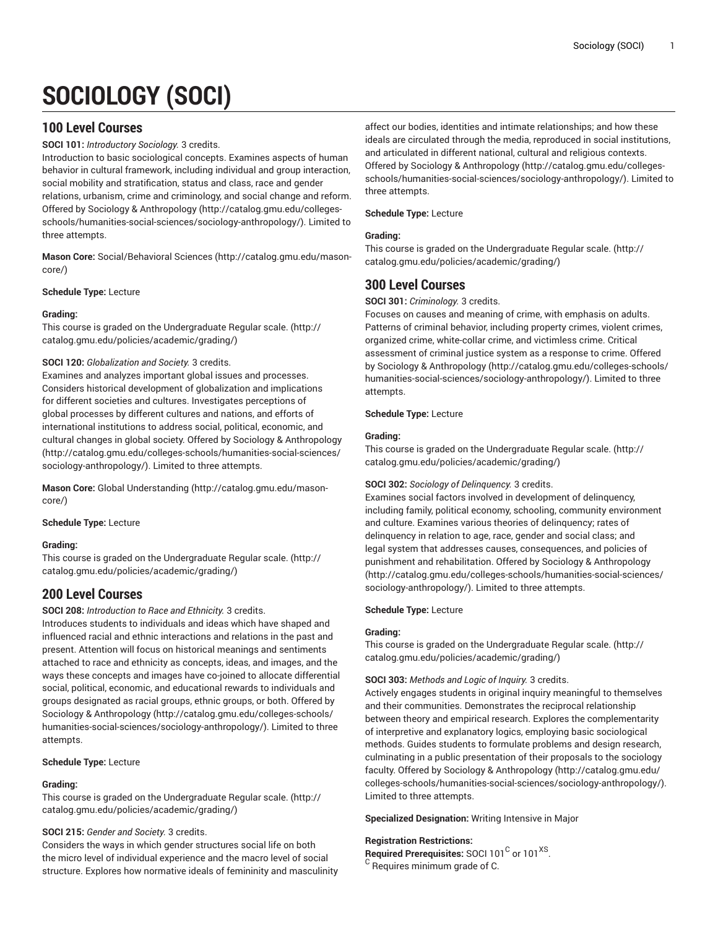# **SOCIOLOGY (SOCI)**

# **100 Level Courses**

# **SOCI 101:** *Introductory Sociology.* 3 credits.

Introduction to basic sociological concepts. Examines aspects of human behavior in cultural framework, including individual and group interaction, social mobility and stratification, status and class, race and gender relations, urbanism, crime and criminology, and social change and reform. Offered by Sociology & [Anthropology \(http://catalog.gmu.edu/colleges](http://catalog.gmu.edu/colleges-schools/humanities-social-sciences/sociology-anthropology/)[schools/humanities-social-sciences/sociology-anthropology/](http://catalog.gmu.edu/colleges-schools/humanities-social-sciences/sociology-anthropology/)). Limited to three attempts.

**Mason Core:** [Social/Behavioral](http://catalog.gmu.edu/mason-core/) Sciences ([http://catalog.gmu.edu/mason](http://catalog.gmu.edu/mason-core/)[core/\)](http://catalog.gmu.edu/mason-core/)

**Schedule Type:** Lecture

# **Grading:**

This course is graded on the [Undergraduate](http://catalog.gmu.edu/policies/academic/grading/) Regular scale. ([http://](http://catalog.gmu.edu/policies/academic/grading/) [catalog.gmu.edu/policies/academic/grading/\)](http://catalog.gmu.edu/policies/academic/grading/)

# **SOCI 120:** *Globalization and Society.* 3 credits.

Examines and analyzes important global issues and processes. Considers historical development of globalization and implications for different societies and cultures. Investigates perceptions of global processes by different cultures and nations, and efforts of international institutions to address social, political, economic, and cultural changes in global society. Offered by Sociology & [Anthropology](http://catalog.gmu.edu/colleges-schools/humanities-social-sciences/sociology-anthropology/) ([http://catalog.gmu.edu/colleges-schools/humanities-social-sciences/](http://catalog.gmu.edu/colleges-schools/humanities-social-sciences/sociology-anthropology/) [sociology-anthropology/\)](http://catalog.gmu.edu/colleges-schools/humanities-social-sciences/sociology-anthropology/). Limited to three attempts.

**Mason Core:** [Global Understanding](http://catalog.gmu.edu/mason-core/) ([http://catalog.gmu.edu/mason](http://catalog.gmu.edu/mason-core/)[core/\)](http://catalog.gmu.edu/mason-core/)

# **Schedule Type:** Lecture

# **Grading:**

This course is graded on the [Undergraduate](http://catalog.gmu.edu/policies/academic/grading/) Regular scale. ([http://](http://catalog.gmu.edu/policies/academic/grading/) [catalog.gmu.edu/policies/academic/grading/\)](http://catalog.gmu.edu/policies/academic/grading/)

# **200 Level Courses**

**SOCI 208:** *Introduction to Race and Ethnicity.* 3 credits.

Introduces students to individuals and ideas which have shaped and influenced racial and ethnic interactions and relations in the past and present. Attention will focus on historical meanings and sentiments attached to race and ethnicity as concepts, ideas, and images, and the ways these concepts and images have co-joined to allocate differential social, political, economic, and educational rewards to individuals and groups designated as racial groups, ethnic groups, or both. Offered by Sociology & [Anthropology \(http://catalog.gmu.edu/colleges-schools/](http://catalog.gmu.edu/colleges-schools/humanities-social-sciences/sociology-anthropology/) [humanities-social-sciences/sociology-anthropology/\)](http://catalog.gmu.edu/colleges-schools/humanities-social-sciences/sociology-anthropology/). Limited to three attempts.

# **Schedule Type:** Lecture

# **Grading:**

This course is graded on the [Undergraduate](http://catalog.gmu.edu/policies/academic/grading/) Regular scale. ([http://](http://catalog.gmu.edu/policies/academic/grading/) [catalog.gmu.edu/policies/academic/grading/\)](http://catalog.gmu.edu/policies/academic/grading/)

# **SOCI 215:** *Gender and Society.* 3 credits.

Considers the ways in which gender structures social life on both the micro level of individual experience and the macro level of social structure. Explores how normative ideals of femininity and masculinity

affect our bodies, identities and intimate relationships; and how these ideals are circulated through the media, reproduced in social institutions, and articulated in different national, cultural and religious contexts. Offered by Sociology & [Anthropology](http://catalog.gmu.edu/colleges-schools/humanities-social-sciences/sociology-anthropology/) ([http://catalog.gmu.edu/colleges](http://catalog.gmu.edu/colleges-schools/humanities-social-sciences/sociology-anthropology/)[schools/humanities-social-sciences/sociology-anthropology/\)](http://catalog.gmu.edu/colleges-schools/humanities-social-sciences/sociology-anthropology/). Limited to three attempts.

# **Schedule Type:** Lecture

# **Grading:**

This course is graded on the [Undergraduate](http://catalog.gmu.edu/policies/academic/grading/) Regular scale. ([http://](http://catalog.gmu.edu/policies/academic/grading/) [catalog.gmu.edu/policies/academic/grading/](http://catalog.gmu.edu/policies/academic/grading/))

# **300 Level Courses**

# **SOCI 301:** *Criminology.* 3 credits.

Focuses on causes and meaning of crime, with emphasis on adults. Patterns of criminal behavior, including property crimes, violent crimes, organized crime, white-collar crime, and victimless crime. Critical assessment of criminal justice system as a response to crime. Offered by Sociology & [Anthropology \(http://catalog.gmu.edu/colleges-schools/](http://catalog.gmu.edu/colleges-schools/humanities-social-sciences/sociology-anthropology/) [humanities-social-sciences/sociology-anthropology/](http://catalog.gmu.edu/colleges-schools/humanities-social-sciences/sociology-anthropology/)). Limited to three attempts.

# **Schedule Type:** Lecture

# **Grading:**

This course is graded on the [Undergraduate](http://catalog.gmu.edu/policies/academic/grading/) Regular scale. ([http://](http://catalog.gmu.edu/policies/academic/grading/) [catalog.gmu.edu/policies/academic/grading/](http://catalog.gmu.edu/policies/academic/grading/))

# **SOCI 302:** *Sociology of Delinquency.* 3 credits.

Examines social factors involved in development of delinquency, including family, political economy, schooling, community environment and culture. Examines various theories of delinquency; rates of delinquency in relation to age, race, gender and social class; and legal system that addresses causes, consequences, and policies of punishment and rehabilitation. Offered by Sociology & [Anthropology](http://catalog.gmu.edu/colleges-schools/humanities-social-sciences/sociology-anthropology/) [\(http://catalog.gmu.edu/colleges-schools/humanities-social-sciences/](http://catalog.gmu.edu/colleges-schools/humanities-social-sciences/sociology-anthropology/) [sociology-anthropology/](http://catalog.gmu.edu/colleges-schools/humanities-social-sciences/sociology-anthropology/)). Limited to three attempts.

# **Schedule Type:** Lecture

# **Grading:**

This course is graded on the [Undergraduate](http://catalog.gmu.edu/policies/academic/grading/) Regular scale. ([http://](http://catalog.gmu.edu/policies/academic/grading/) [catalog.gmu.edu/policies/academic/grading/](http://catalog.gmu.edu/policies/academic/grading/))

# **SOCI 303:** *Methods and Logic of Inquiry.* 3 credits.

Actively engages students in original inquiry meaningful to themselves and their communities. Demonstrates the reciprocal relationship between theory and empirical research. Explores the complementarity of interpretive and explanatory logics, employing basic sociological methods. Guides students to formulate problems and design research, culminating in a public presentation of their proposals to the sociology faculty. Offered by Sociology & [Anthropology](http://catalog.gmu.edu/colleges-schools/humanities-social-sciences/sociology-anthropology/) [\(http://catalog.gmu.edu/](http://catalog.gmu.edu/colleges-schools/humanities-social-sciences/sociology-anthropology/) [colleges-schools/humanities-social-sciences/sociology-anthropology/\)](http://catalog.gmu.edu/colleges-schools/humanities-social-sciences/sociology-anthropology/). Limited to three attempts.

# **Specialized Designation:** Writing Intensive in Major

# **Registration Restrictions:**

- Required Prerequisites: SOCI 101<sup>C</sup> or 101<sup>XS</sup>.
- <sup>C</sup> Requires minimum grade of C.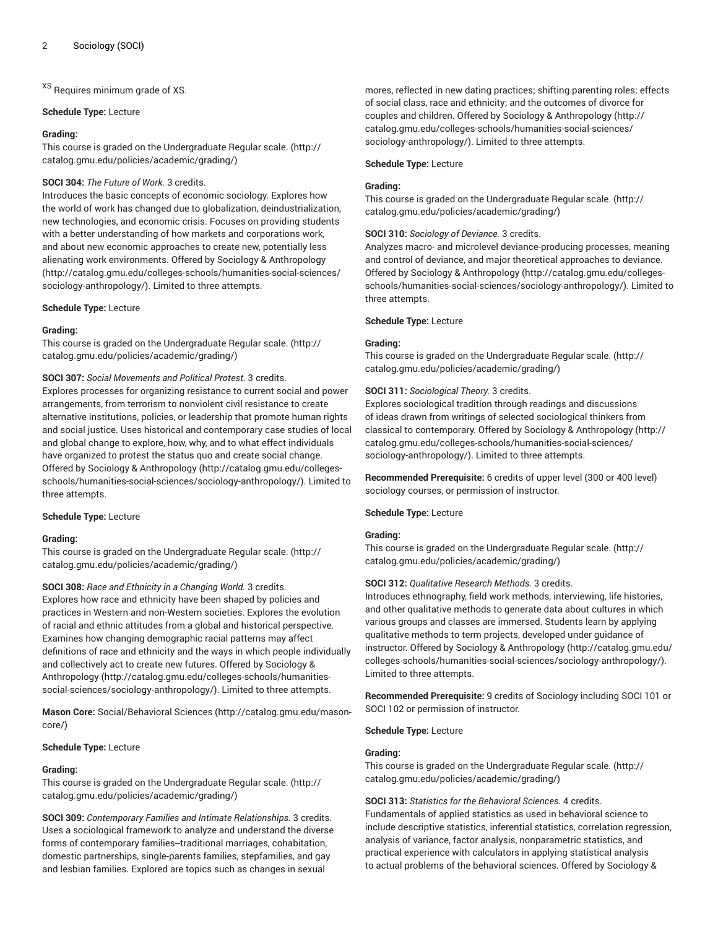XS Requires minimum grade of XS.

#### **Schedule Type:** Lecture

## **Grading:**

This course is graded on the [Undergraduate](http://catalog.gmu.edu/policies/academic/grading/) Regular scale. ([http://](http://catalog.gmu.edu/policies/academic/grading/) [catalog.gmu.edu/policies/academic/grading/\)](http://catalog.gmu.edu/policies/academic/grading/)

## **SOCI 304:** *The Future of Work.* 3 credits.

Introduces the basic concepts of economic sociology. Explores how the world of work has changed due to globalization, deindustrialization, new technologies, and economic crisis. Focuses on providing students with a better understanding of how markets and corporations work, and about new economic approaches to create new, potentially less alienating work environments. Offered by Sociology & [Anthropology](http://catalog.gmu.edu/colleges-schools/humanities-social-sciences/sociology-anthropology/) ([http://catalog.gmu.edu/colleges-schools/humanities-social-sciences/](http://catalog.gmu.edu/colleges-schools/humanities-social-sciences/sociology-anthropology/) [sociology-anthropology/\)](http://catalog.gmu.edu/colleges-schools/humanities-social-sciences/sociology-anthropology/). Limited to three attempts.

# **Schedule Type:** Lecture

#### **Grading:**

This course is graded on the [Undergraduate](http://catalog.gmu.edu/policies/academic/grading/) Regular scale. ([http://](http://catalog.gmu.edu/policies/academic/grading/) [catalog.gmu.edu/policies/academic/grading/\)](http://catalog.gmu.edu/policies/academic/grading/)

# **SOCI 307:** *Social Movements and Political Protest.* 3 credits.

Explores processes for organizing resistance to current social and power arrangements, from terrorism to nonviolent civil resistance to create alternative institutions, policies, or leadership that promote human rights and social justice. Uses historical and contemporary case studies of local and global change to explore, how, why, and to what effect individuals have organized to protest the status quo and create social change. Offered by Sociology & [Anthropology \(http://catalog.gmu.edu/colleges](http://catalog.gmu.edu/colleges-schools/humanities-social-sciences/sociology-anthropology/)[schools/humanities-social-sciences/sociology-anthropology/](http://catalog.gmu.edu/colleges-schools/humanities-social-sciences/sociology-anthropology/)). Limited to three attempts.

# **Schedule Type:** Lecture

#### **Grading:**

This course is graded on the [Undergraduate](http://catalog.gmu.edu/policies/academic/grading/) Regular scale. ([http://](http://catalog.gmu.edu/policies/academic/grading/) [catalog.gmu.edu/policies/academic/grading/\)](http://catalog.gmu.edu/policies/academic/grading/)

**SOCI 308:** *Race and Ethnicity in a Changing World.* 3 credits. Explores how race and ethnicity have been shaped by policies and practices in Western and non-Western societies. Explores the evolution of racial and ethnic attitudes from a global and historical perspective. Examines how changing demographic racial patterns may affect definitions of race and ethnicity and the ways in which people individually and collectively act to create new futures. Offered by [Sociology &](http://catalog.gmu.edu/colleges-schools/humanities-social-sciences/sociology-anthropology/) [Anthropology](http://catalog.gmu.edu/colleges-schools/humanities-social-sciences/sociology-anthropology/) [\(http://catalog.gmu.edu/colleges-schools/humanities](http://catalog.gmu.edu/colleges-schools/humanities-social-sciences/sociology-anthropology/)[social-sciences/sociology-anthropology/](http://catalog.gmu.edu/colleges-schools/humanities-social-sciences/sociology-anthropology/)). Limited to three attempts.

**Mason Core:** [Social/Behavioral](http://catalog.gmu.edu/mason-core/) Sciences ([http://catalog.gmu.edu/mason](http://catalog.gmu.edu/mason-core/)[core/\)](http://catalog.gmu.edu/mason-core/)

# **Schedule Type:** Lecture

# **Grading:**

This course is graded on the [Undergraduate](http://catalog.gmu.edu/policies/academic/grading/) Regular scale. ([http://](http://catalog.gmu.edu/policies/academic/grading/) [catalog.gmu.edu/policies/academic/grading/\)](http://catalog.gmu.edu/policies/academic/grading/)

**SOCI 309:** *Contemporary Families and Intimate Relationships.* 3 credits. Uses a sociological framework to analyze and understand the diverse forms of contemporary families--traditional marriages, cohabitation, domestic partnerships, single-parents families, stepfamilies, and gay and lesbian families. Explored are topics such as changes in sexual

mores, reflected in new dating practices; shifting parenting roles; effects of social class, race and ethnicity; and the outcomes of divorce for couples and children. Offered by Sociology & [Anthropology \(http://](http://catalog.gmu.edu/colleges-schools/humanities-social-sciences/sociology-anthropology/) [catalog.gmu.edu/colleges-schools/humanities-social-sciences/](http://catalog.gmu.edu/colleges-schools/humanities-social-sciences/sociology-anthropology/) [sociology-anthropology/](http://catalog.gmu.edu/colleges-schools/humanities-social-sciences/sociology-anthropology/)). Limited to three attempts.

#### **Schedule Type:** Lecture

# **Grading:**

This course is graded on the [Undergraduate](http://catalog.gmu.edu/policies/academic/grading/) Regular scale. ([http://](http://catalog.gmu.edu/policies/academic/grading/) [catalog.gmu.edu/policies/academic/grading/](http://catalog.gmu.edu/policies/academic/grading/))

# **SOCI 310:** *Sociology of Deviance.* 3 credits.

Analyzes macro- and microlevel deviance-producing processes, meaning and control of deviance, and major theoretical approaches to deviance. Offered by Sociology & [Anthropology](http://catalog.gmu.edu/colleges-schools/humanities-social-sciences/sociology-anthropology/) ([http://catalog.gmu.edu/colleges](http://catalog.gmu.edu/colleges-schools/humanities-social-sciences/sociology-anthropology/)[schools/humanities-social-sciences/sociology-anthropology/\)](http://catalog.gmu.edu/colleges-schools/humanities-social-sciences/sociology-anthropology/). Limited to three attempts.

#### **Schedule Type:** Lecture

#### **Grading:**

This course is graded on the [Undergraduate](http://catalog.gmu.edu/policies/academic/grading/) Regular scale. ([http://](http://catalog.gmu.edu/policies/academic/grading/) [catalog.gmu.edu/policies/academic/grading/](http://catalog.gmu.edu/policies/academic/grading/))

# **SOCI 311:** *Sociological Theory.* 3 credits.

Explores sociological tradition through readings and discussions of ideas drawn from writings of selected sociological thinkers from classical to contemporary. Offered by Sociology & [Anthropology](http://catalog.gmu.edu/colleges-schools/humanities-social-sciences/sociology-anthropology/) ([http://](http://catalog.gmu.edu/colleges-schools/humanities-social-sciences/sociology-anthropology/) [catalog.gmu.edu/colleges-schools/humanities-social-sciences/](http://catalog.gmu.edu/colleges-schools/humanities-social-sciences/sociology-anthropology/) [sociology-anthropology/](http://catalog.gmu.edu/colleges-schools/humanities-social-sciences/sociology-anthropology/)). Limited to three attempts.

**Recommended Prerequisite:** 6 credits of upper level (300 or 400 level) sociology courses, or permission of instructor.

#### **Schedule Type:** Lecture

#### **Grading:**

This course is graded on the [Undergraduate](http://catalog.gmu.edu/policies/academic/grading/) Regular scale. ([http://](http://catalog.gmu.edu/policies/academic/grading/) [catalog.gmu.edu/policies/academic/grading/](http://catalog.gmu.edu/policies/academic/grading/))

#### **SOCI 312:** *Qualitative Research Methods.* 3 credits.

Introduces ethnography, field work methods, interviewing, life histories, and other qualitative methods to generate data about cultures in which various groups and classes are immersed. Students learn by applying qualitative methods to term projects, developed under guidance of instructor. Offered by Sociology & [Anthropology \(http://catalog.gmu.edu/](http://catalog.gmu.edu/colleges-schools/humanities-social-sciences/sociology-anthropology/) [colleges-schools/humanities-social-sciences/sociology-anthropology/\)](http://catalog.gmu.edu/colleges-schools/humanities-social-sciences/sociology-anthropology/). Limited to three attempts.

**Recommended Prerequisite:** 9 credits of Sociology including SOCI 101 or SOCI 102 or permission of instructor.

# **Schedule Type:** Lecture

## **Grading:**

This course is graded on the [Undergraduate](http://catalog.gmu.edu/policies/academic/grading/) Regular scale. ([http://](http://catalog.gmu.edu/policies/academic/grading/) [catalog.gmu.edu/policies/academic/grading/](http://catalog.gmu.edu/policies/academic/grading/))

**SOCI 313:** *Statistics for the Behavioral Sciences.* 4 credits. Fundamentals of applied statistics as used in behavioral science to include descriptive statistics, inferential statistics, correlation regression, analysis of variance, factor analysis, nonparametric statistics, and practical experience with calculators in applying statistical analysis to actual problems of the behavioral sciences. Offered by [Sociology &](http://catalog.gmu.edu/colleges-schools/humanities-social-sciences/sociology-anthropology/)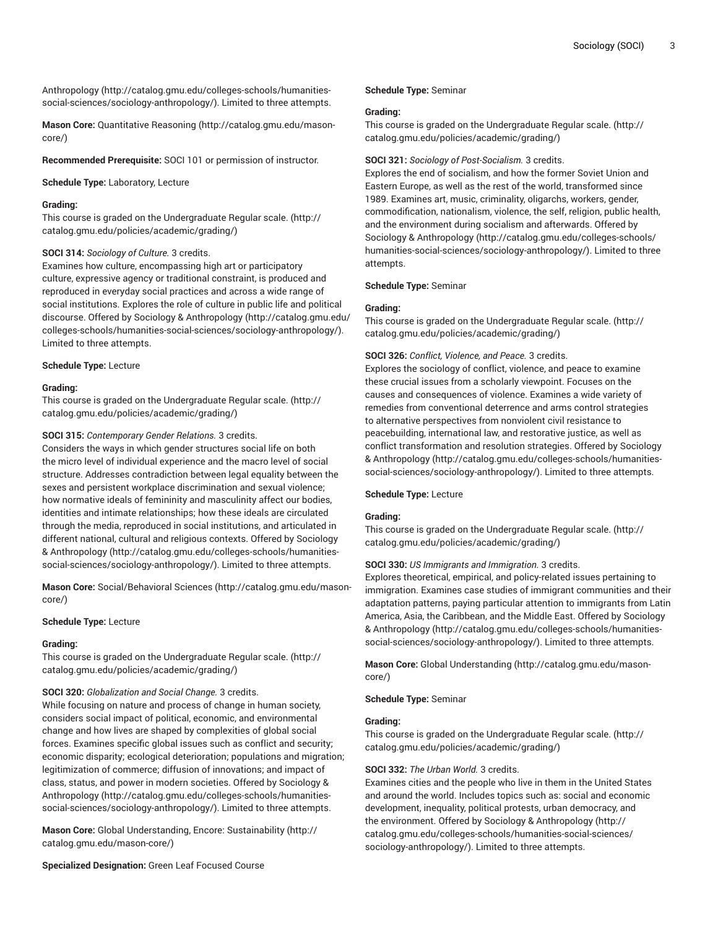[Anthropology](http://catalog.gmu.edu/colleges-schools/humanities-social-sciences/sociology-anthropology/) [\(http://catalog.gmu.edu/colleges-schools/humanities](http://catalog.gmu.edu/colleges-schools/humanities-social-sciences/sociology-anthropology/)[social-sciences/sociology-anthropology/](http://catalog.gmu.edu/colleges-schools/humanities-social-sciences/sociology-anthropology/)). Limited to three attempts.

**Mason Core:** [Quantitative](http://catalog.gmu.edu/mason-core/) Reasoning [\(http://catalog.gmu.edu/mason](http://catalog.gmu.edu/mason-core/)[core/\)](http://catalog.gmu.edu/mason-core/)

**Recommended Prerequisite:** SOCI 101 or permission of instructor.

**Schedule Type:** Laboratory, Lecture

## **Grading:**

This course is graded on the [Undergraduate](http://catalog.gmu.edu/policies/academic/grading/) Regular scale. ([http://](http://catalog.gmu.edu/policies/academic/grading/) [catalog.gmu.edu/policies/academic/grading/\)](http://catalog.gmu.edu/policies/academic/grading/)

#### **SOCI 314:** *Sociology of Culture.* 3 credits.

Examines how culture, encompassing high art or participatory culture, expressive agency or traditional constraint, is produced and reproduced in everyday social practices and across a wide range of social institutions. Explores the role of culture in public life and political discourse. Offered by Sociology & [Anthropology](http://catalog.gmu.edu/colleges-schools/humanities-social-sciences/sociology-anthropology/) ([http://catalog.gmu.edu/](http://catalog.gmu.edu/colleges-schools/humanities-social-sciences/sociology-anthropology/) [colleges-schools/humanities-social-sciences/sociology-anthropology/\)](http://catalog.gmu.edu/colleges-schools/humanities-social-sciences/sociology-anthropology/). Limited to three attempts.

# **Schedule Type:** Lecture

#### **Grading:**

This course is graded on the [Undergraduate](http://catalog.gmu.edu/policies/academic/grading/) Regular scale. ([http://](http://catalog.gmu.edu/policies/academic/grading/) [catalog.gmu.edu/policies/academic/grading/\)](http://catalog.gmu.edu/policies/academic/grading/)

#### **SOCI 315:** *Contemporary Gender Relations.* 3 credits.

Considers the ways in which gender structures social life on both the micro level of individual experience and the macro level of social structure. Addresses contradiction between legal equality between the sexes and persistent workplace discrimination and sexual violence; how normative ideals of femininity and masculinity affect our bodies, identities and intimate relationships; how these ideals are circulated through the media, reproduced in social institutions, and articulated in different national, cultural and religious contexts. Offered by [Sociology](http://catalog.gmu.edu/colleges-schools/humanities-social-sciences/sociology-anthropology/) & [Anthropology](http://catalog.gmu.edu/colleges-schools/humanities-social-sciences/sociology-anthropology/) [\(http://catalog.gmu.edu/colleges-schools/humanities](http://catalog.gmu.edu/colleges-schools/humanities-social-sciences/sociology-anthropology/)[social-sciences/sociology-anthropology/](http://catalog.gmu.edu/colleges-schools/humanities-social-sciences/sociology-anthropology/)). Limited to three attempts.

**Mason Core:** [Social/Behavioral](http://catalog.gmu.edu/mason-core/) Sciences ([http://catalog.gmu.edu/mason](http://catalog.gmu.edu/mason-core/)[core/\)](http://catalog.gmu.edu/mason-core/)

## **Schedule Type:** Lecture

#### **Grading:**

This course is graded on the [Undergraduate](http://catalog.gmu.edu/policies/academic/grading/) Regular scale. ([http://](http://catalog.gmu.edu/policies/academic/grading/) [catalog.gmu.edu/policies/academic/grading/\)](http://catalog.gmu.edu/policies/academic/grading/)

# **SOCI 320:** *Globalization and Social Change.* 3 credits.

While focusing on nature and process of change in human society, considers social impact of political, economic, and environmental change and how lives are shaped by complexities of global social forces. Examines specific global issues such as conflict and security; economic disparity; ecological deterioration; populations and migration; legitimization of commerce; diffusion of innovations; and impact of class, status, and power in modern societies. Offered by [Sociology &](http://catalog.gmu.edu/colleges-schools/humanities-social-sciences/sociology-anthropology/) [Anthropology](http://catalog.gmu.edu/colleges-schools/humanities-social-sciences/sociology-anthropology/) [\(http://catalog.gmu.edu/colleges-schools/humanities](http://catalog.gmu.edu/colleges-schools/humanities-social-sciences/sociology-anthropology/)[social-sciences/sociology-anthropology/](http://catalog.gmu.edu/colleges-schools/humanities-social-sciences/sociology-anthropology/)). Limited to three attempts.

**Mason Core:** Global [Understanding,](http://catalog.gmu.edu/mason-core/) Encore: Sustainability [\(http://](http://catalog.gmu.edu/mason-core/) [catalog.gmu.edu/mason-core/\)](http://catalog.gmu.edu/mason-core/)

**Specialized Designation:** Green Leaf Focused Course

#### **Schedule Type:** Seminar

#### **Grading:**

This course is graded on the [Undergraduate](http://catalog.gmu.edu/policies/academic/grading/) Regular scale. ([http://](http://catalog.gmu.edu/policies/academic/grading/) [catalog.gmu.edu/policies/academic/grading/](http://catalog.gmu.edu/policies/academic/grading/))

#### **SOCI 321:** *Sociology of Post-Socialism.* 3 credits.

Explores the end of socialism, and how the former Soviet Union and Eastern Europe, as well as the rest of the world, transformed since 1989. Examines art, music, criminality, oligarchs, workers, gender, commodification, nationalism, violence, the self, religion, public health, and the environment during socialism and afterwards. Offered by Sociology & [Anthropology](http://catalog.gmu.edu/colleges-schools/humanities-social-sciences/sociology-anthropology/) ([http://catalog.gmu.edu/colleges-schools/](http://catalog.gmu.edu/colleges-schools/humanities-social-sciences/sociology-anthropology/) [humanities-social-sciences/sociology-anthropology/](http://catalog.gmu.edu/colleges-schools/humanities-social-sciences/sociology-anthropology/)). Limited to three attempts.

#### **Schedule Type:** Seminar

#### **Grading:**

This course is graded on the [Undergraduate](http://catalog.gmu.edu/policies/academic/grading/) Regular scale. ([http://](http://catalog.gmu.edu/policies/academic/grading/) [catalog.gmu.edu/policies/academic/grading/](http://catalog.gmu.edu/policies/academic/grading/))

# **SOCI 326:** *Conflict, Violence, and Peace.* 3 credits.

Explores the sociology of conflict, violence, and peace to examine these crucial issues from a scholarly viewpoint. Focuses on the causes and consequences of violence. Examines a wide variety of remedies from conventional deterrence and arms control strategies to alternative perspectives from nonviolent civil resistance to peacebuilding, international law, and restorative justice, as well as conflict transformation and resolution strategies. Offered by [Sociology](http://catalog.gmu.edu/colleges-schools/humanities-social-sciences/sociology-anthropology/) & [Anthropology \(http://catalog.gmu.edu/colleges-schools/humanities](http://catalog.gmu.edu/colleges-schools/humanities-social-sciences/sociology-anthropology/)[social-sciences/sociology-anthropology/\)](http://catalog.gmu.edu/colleges-schools/humanities-social-sciences/sociology-anthropology/). Limited to three attempts.

#### **Schedule Type:** Lecture

#### **Grading:**

This course is graded on the [Undergraduate](http://catalog.gmu.edu/policies/academic/grading/) Regular scale. ([http://](http://catalog.gmu.edu/policies/academic/grading/) [catalog.gmu.edu/policies/academic/grading/](http://catalog.gmu.edu/policies/academic/grading/))

# **SOCI 330:** *US Immigrants and Immigration.* 3 credits.

Explores theoretical, empirical, and policy-related issues pertaining to immigration. Examines case studies of immigrant communities and their adaptation patterns, paying particular attention to immigrants from Latin America, Asia, the Caribbean, and the Middle East. Offered by [Sociology](http://catalog.gmu.edu/colleges-schools/humanities-social-sciences/sociology-anthropology/) & [Anthropology \(http://catalog.gmu.edu/colleges-schools/humanities](http://catalog.gmu.edu/colleges-schools/humanities-social-sciences/sociology-anthropology/)[social-sciences/sociology-anthropology/\)](http://catalog.gmu.edu/colleges-schools/humanities-social-sciences/sociology-anthropology/). Limited to three attempts.

**Mason Core:** [Global Understanding \(http://catalog.gmu.edu/mason](http://catalog.gmu.edu/mason-core/)[core/](http://catalog.gmu.edu/mason-core/))

**Schedule Type:** Seminar

### **Grading:**

This course is graded on the [Undergraduate](http://catalog.gmu.edu/policies/academic/grading/) Regular scale. ([http://](http://catalog.gmu.edu/policies/academic/grading/) [catalog.gmu.edu/policies/academic/grading/](http://catalog.gmu.edu/policies/academic/grading/))

#### **SOCI 332:** *The Urban World.* 3 credits.

Examines cities and the people who live in them in the United States and around the world. Includes topics such as: social and economic development, inequality, political protests, urban democracy, and the environment. Offered by Sociology & [Anthropology](http://catalog.gmu.edu/colleges-schools/humanities-social-sciences/sociology-anthropology/) ([http://](http://catalog.gmu.edu/colleges-schools/humanities-social-sciences/sociology-anthropology/) [catalog.gmu.edu/colleges-schools/humanities-social-sciences/](http://catalog.gmu.edu/colleges-schools/humanities-social-sciences/sociology-anthropology/) [sociology-anthropology/](http://catalog.gmu.edu/colleges-schools/humanities-social-sciences/sociology-anthropology/)). Limited to three attempts.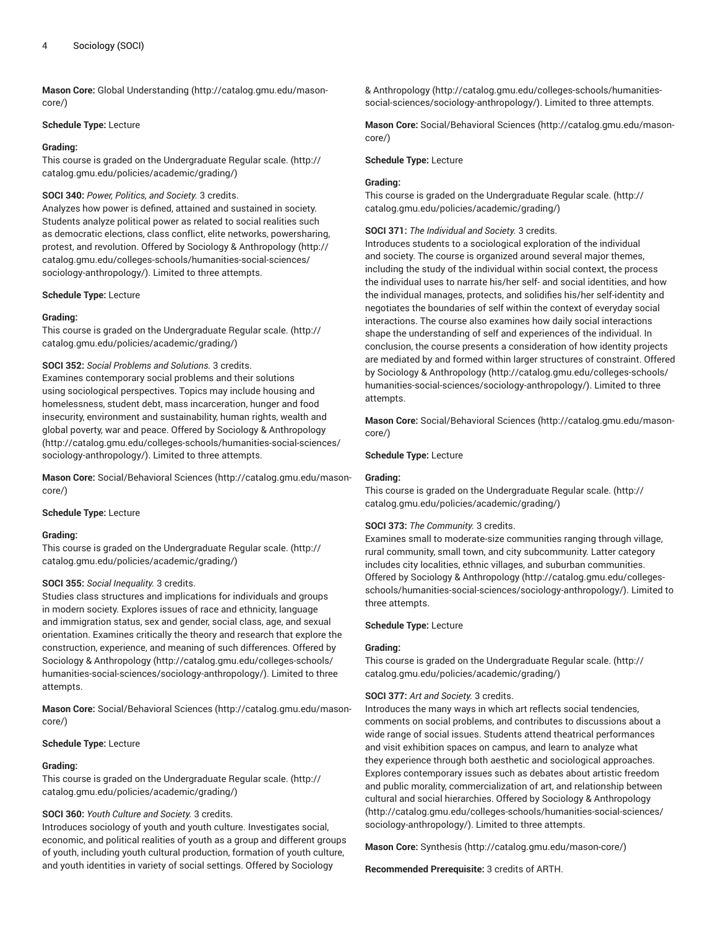**Mason Core:** [Global Understanding](http://catalog.gmu.edu/mason-core/) ([http://catalog.gmu.edu/mason](http://catalog.gmu.edu/mason-core/)[core/\)](http://catalog.gmu.edu/mason-core/)

#### **Schedule Type:** Lecture

#### **Grading:**

This course is graded on the [Undergraduate](http://catalog.gmu.edu/policies/academic/grading/) Regular scale. ([http://](http://catalog.gmu.edu/policies/academic/grading/) [catalog.gmu.edu/policies/academic/grading/\)](http://catalog.gmu.edu/policies/academic/grading/)

# **SOCI 340:** *Power, Politics, and Society.* 3 credits.

Analyzes how power is defined, attained and sustained in society. Students analyze political power as related to social realities such as democratic elections, class conflict, elite networks, powersharing, protest, and revolution. Offered by Sociology & [Anthropology](http://catalog.gmu.edu/colleges-schools/humanities-social-sciences/sociology-anthropology/) [\(http://](http://catalog.gmu.edu/colleges-schools/humanities-social-sciences/sociology-anthropology/) [catalog.gmu.edu/colleges-schools/humanities-social-sciences/](http://catalog.gmu.edu/colleges-schools/humanities-social-sciences/sociology-anthropology/) [sociology-anthropology/\)](http://catalog.gmu.edu/colleges-schools/humanities-social-sciences/sociology-anthropology/). Limited to three attempts.

#### **Schedule Type:** Lecture

# **Grading:**

This course is graded on the [Undergraduate](http://catalog.gmu.edu/policies/academic/grading/) Regular scale. ([http://](http://catalog.gmu.edu/policies/academic/grading/) [catalog.gmu.edu/policies/academic/grading/\)](http://catalog.gmu.edu/policies/academic/grading/)

**SOCI 352:** *Social Problems and Solutions.* 3 credits.

Examines contemporary social problems and their solutions using sociological perspectives. Topics may include housing and homelessness, student debt, mass incarceration, hunger and food insecurity, environment and sustainability, human rights, wealth and global poverty, war and peace. Offered by Sociology & [Anthropology](http://catalog.gmu.edu/colleges-schools/humanities-social-sciences/sociology-anthropology/) ([http://catalog.gmu.edu/colleges-schools/humanities-social-sciences/](http://catalog.gmu.edu/colleges-schools/humanities-social-sciences/sociology-anthropology/) [sociology-anthropology/\)](http://catalog.gmu.edu/colleges-schools/humanities-social-sciences/sociology-anthropology/). Limited to three attempts.

**Mason Core:** [Social/Behavioral](http://catalog.gmu.edu/mason-core/) Sciences ([http://catalog.gmu.edu/mason](http://catalog.gmu.edu/mason-core/)[core/\)](http://catalog.gmu.edu/mason-core/)

#### **Schedule Type:** Lecture

#### **Grading:**

This course is graded on the [Undergraduate](http://catalog.gmu.edu/policies/academic/grading/) Regular scale. ([http://](http://catalog.gmu.edu/policies/academic/grading/) [catalog.gmu.edu/policies/academic/grading/\)](http://catalog.gmu.edu/policies/academic/grading/)

# **SOCI 355:** *Social Inequality.* 3 credits.

Studies class structures and implications for individuals and groups in modern society. Explores issues of race and ethnicity, language and immigration status, sex and gender, social class, age, and sexual orientation. Examines critically the theory and research that explore the construction, experience, and meaning of such differences. Offered by Sociology & [Anthropology \(http://catalog.gmu.edu/colleges-schools/](http://catalog.gmu.edu/colleges-schools/humanities-social-sciences/sociology-anthropology/) [humanities-social-sciences/sociology-anthropology/\)](http://catalog.gmu.edu/colleges-schools/humanities-social-sciences/sociology-anthropology/). Limited to three attempts.

**Mason Core:** [Social/Behavioral](http://catalog.gmu.edu/mason-core/) Sciences ([http://catalog.gmu.edu/mason](http://catalog.gmu.edu/mason-core/)[core/\)](http://catalog.gmu.edu/mason-core/)

#### **Schedule Type:** Lecture

#### **Grading:**

This course is graded on the [Undergraduate](http://catalog.gmu.edu/policies/academic/grading/) Regular scale. ([http://](http://catalog.gmu.edu/policies/academic/grading/) [catalog.gmu.edu/policies/academic/grading/\)](http://catalog.gmu.edu/policies/academic/grading/)

# **SOCI 360:** *Youth Culture and Society.* 3 credits.

Introduces sociology of youth and youth culture. Investigates social, economic, and political realities of youth as a group and different groups of youth, including youth cultural production, formation of youth culture, and youth identities in variety of social settings. Offered by [Sociology](http://catalog.gmu.edu/colleges-schools/humanities-social-sciences/sociology-anthropology/)

& [Anthropology \(http://catalog.gmu.edu/colleges-schools/humanities](http://catalog.gmu.edu/colleges-schools/humanities-social-sciences/sociology-anthropology/)[social-sciences/sociology-anthropology/\)](http://catalog.gmu.edu/colleges-schools/humanities-social-sciences/sociology-anthropology/). Limited to three attempts.

**Mason Core:** [Social/Behavioral](http://catalog.gmu.edu/mason-core/) Sciences [\(http://catalog.gmu.edu/mason](http://catalog.gmu.edu/mason-core/)[core/](http://catalog.gmu.edu/mason-core/))

#### **Schedule Type:** Lecture

#### **Grading:**

This course is graded on the [Undergraduate](http://catalog.gmu.edu/policies/academic/grading/) Regular scale. ([http://](http://catalog.gmu.edu/policies/academic/grading/) [catalog.gmu.edu/policies/academic/grading/](http://catalog.gmu.edu/policies/academic/grading/))

#### **SOCI 371:** *The Individual and Society.* 3 credits.

Introduces students to a sociological exploration of the individual and society. The course is organized around several major themes, including the study of the individual within social context, the process the individual uses to narrate his/her self- and social identities, and how the individual manages, protects, and solidifies his/her self-identity and negotiates the boundaries of self within the context of everyday social interactions. The course also examines how daily social interactions shape the understanding of self and experiences of the individual. In conclusion, the course presents a consideration of how identity projects are mediated by and formed within larger structures of constraint. Offered by Sociology & [Anthropology \(http://catalog.gmu.edu/colleges-schools/](http://catalog.gmu.edu/colleges-schools/humanities-social-sciences/sociology-anthropology/) [humanities-social-sciences/sociology-anthropology/](http://catalog.gmu.edu/colleges-schools/humanities-social-sciences/sociology-anthropology/)). Limited to three attempts.

**Mason Core:** [Social/Behavioral](http://catalog.gmu.edu/mason-core/) Sciences [\(http://catalog.gmu.edu/mason](http://catalog.gmu.edu/mason-core/)[core/](http://catalog.gmu.edu/mason-core/))

#### **Schedule Type:** Lecture

#### **Grading:**

This course is graded on the [Undergraduate](http://catalog.gmu.edu/policies/academic/grading/) Regular scale. ([http://](http://catalog.gmu.edu/policies/academic/grading/) [catalog.gmu.edu/policies/academic/grading/](http://catalog.gmu.edu/policies/academic/grading/))

# **SOCI 373:** *The Community.* 3 credits.

Examines small to moderate-size communities ranging through village, rural community, small town, and city subcommunity. Latter category includes city localities, ethnic villages, and suburban communities. Offered by Sociology & [Anthropology](http://catalog.gmu.edu/colleges-schools/humanities-social-sciences/sociology-anthropology/) ([http://catalog.gmu.edu/colleges](http://catalog.gmu.edu/colleges-schools/humanities-social-sciences/sociology-anthropology/)[schools/humanities-social-sciences/sociology-anthropology/\)](http://catalog.gmu.edu/colleges-schools/humanities-social-sciences/sociology-anthropology/). Limited to three attempts.

#### **Schedule Type:** Lecture

#### **Grading:**

This course is graded on the [Undergraduate](http://catalog.gmu.edu/policies/academic/grading/) Regular scale. ([http://](http://catalog.gmu.edu/policies/academic/grading/) [catalog.gmu.edu/policies/academic/grading/](http://catalog.gmu.edu/policies/academic/grading/))

# **SOCI 377:** *Art and Society.* 3 credits.

Introduces the many ways in which art reflects social tendencies, comments on social problems, and contributes to discussions about a wide range of social issues. Students attend theatrical performances and visit exhibition spaces on campus, and learn to analyze what they experience through both aesthetic and sociological approaches. Explores contemporary issues such as debates about artistic freedom and public morality, commercialization of art, and relationship between cultural and social hierarchies. Offered by Sociology & [Anthropology](http://catalog.gmu.edu/colleges-schools/humanities-social-sciences/sociology-anthropology/) [\(http://catalog.gmu.edu/colleges-schools/humanities-social-sciences/](http://catalog.gmu.edu/colleges-schools/humanities-social-sciences/sociology-anthropology/) [sociology-anthropology/](http://catalog.gmu.edu/colleges-schools/humanities-social-sciences/sociology-anthropology/)). Limited to three attempts.

**Mason Core:** [Synthesis](http://catalog.gmu.edu/mason-core/) ([http://catalog.gmu.edu/mason-core/\)](http://catalog.gmu.edu/mason-core/)

#### **Recommended Prerequisite:** 3 credits of ARTH.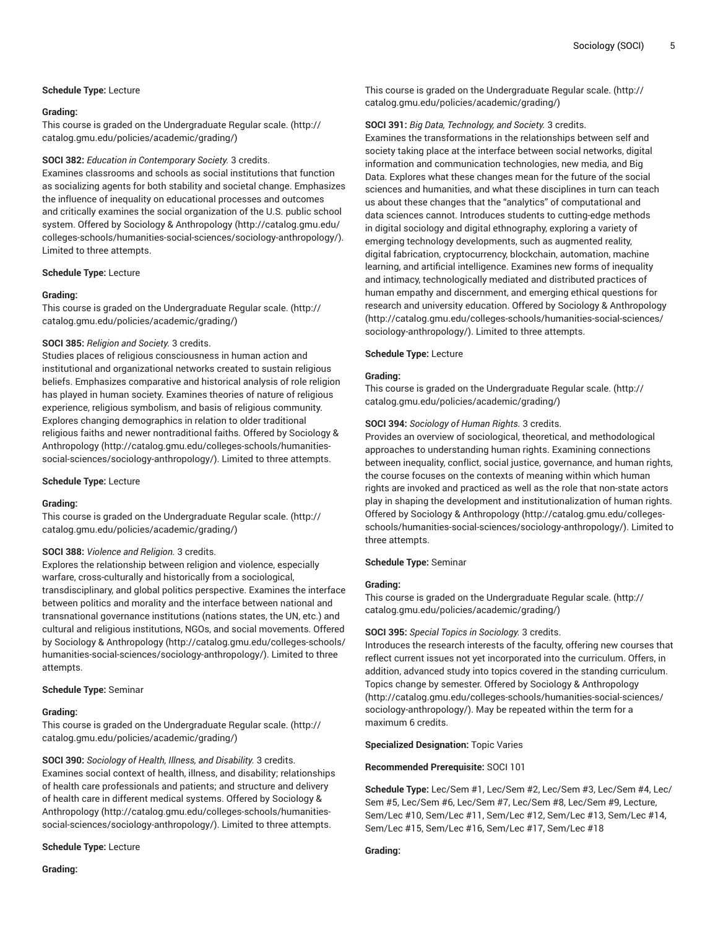# **Schedule Type:** Lecture

#### **Grading:**

This course is graded on the [Undergraduate](http://catalog.gmu.edu/policies/academic/grading/) Regular scale. ([http://](http://catalog.gmu.edu/policies/academic/grading/) [catalog.gmu.edu/policies/academic/grading/\)](http://catalog.gmu.edu/policies/academic/grading/)

## **SOCI 382:** *Education in Contemporary Society.* 3 credits.

Examines classrooms and schools as social institutions that function as socializing agents for both stability and societal change. Emphasizes the influence of inequality on educational processes and outcomes and critically examines the social organization of the U.S. public school system. Offered by Sociology & [Anthropology](http://catalog.gmu.edu/colleges-schools/humanities-social-sciences/sociology-anthropology/) ([http://catalog.gmu.edu/](http://catalog.gmu.edu/colleges-schools/humanities-social-sciences/sociology-anthropology/) [colleges-schools/humanities-social-sciences/sociology-anthropology/\)](http://catalog.gmu.edu/colleges-schools/humanities-social-sciences/sociology-anthropology/). Limited to three attempts.

#### **Schedule Type:** Lecture

# **Grading:**

This course is graded on the [Undergraduate](http://catalog.gmu.edu/policies/academic/grading/) Regular scale. ([http://](http://catalog.gmu.edu/policies/academic/grading/) [catalog.gmu.edu/policies/academic/grading/\)](http://catalog.gmu.edu/policies/academic/grading/)

#### **SOCI 385:** *Religion and Society.* 3 credits.

Studies places of religious consciousness in human action and institutional and organizational networks created to sustain religious beliefs. Emphasizes comparative and historical analysis of role religion has played in human society. Examines theories of nature of religious experience, religious symbolism, and basis of religious community. Explores changing demographics in relation to older traditional religious faiths and newer nontraditional faiths. Offered by [Sociology &](http://catalog.gmu.edu/colleges-schools/humanities-social-sciences/sociology-anthropology/) [Anthropology](http://catalog.gmu.edu/colleges-schools/humanities-social-sciences/sociology-anthropology/) [\(http://catalog.gmu.edu/colleges-schools/humanities](http://catalog.gmu.edu/colleges-schools/humanities-social-sciences/sociology-anthropology/)[social-sciences/sociology-anthropology/](http://catalog.gmu.edu/colleges-schools/humanities-social-sciences/sociology-anthropology/)). Limited to three attempts.

## **Schedule Type:** Lecture

# **Grading:**

This course is graded on the [Undergraduate](http://catalog.gmu.edu/policies/academic/grading/) Regular scale. ([http://](http://catalog.gmu.edu/policies/academic/grading/) [catalog.gmu.edu/policies/academic/grading/\)](http://catalog.gmu.edu/policies/academic/grading/)

# **SOCI 388:** *Violence and Religion.* 3 credits.

Explores the relationship between religion and violence, especially warfare, cross-culturally and historically from a sociological, transdisciplinary, and global politics perspective. Examines the interface between politics and morality and the interface between national and transnational governance institutions (nations states, the UN, etc.) and cultural and religious institutions, NGOs, and social movements. Offered by Sociology & [Anthropology](http://catalog.gmu.edu/colleges-schools/humanities-social-sciences/sociology-anthropology/) ([http://catalog.gmu.edu/colleges-schools/](http://catalog.gmu.edu/colleges-schools/humanities-social-sciences/sociology-anthropology/) [humanities-social-sciences/sociology-anthropology/\)](http://catalog.gmu.edu/colleges-schools/humanities-social-sciences/sociology-anthropology/). Limited to three attempts.

# **Schedule Type:** Seminar

#### **Grading:**

This course is graded on the [Undergraduate](http://catalog.gmu.edu/policies/academic/grading/) Regular scale. ([http://](http://catalog.gmu.edu/policies/academic/grading/) [catalog.gmu.edu/policies/academic/grading/\)](http://catalog.gmu.edu/policies/academic/grading/)

**SOCI 390:** *Sociology of Health, Illness, and Disability.* 3 credits. Examines social context of health, illness, and disability; relationships of health care professionals and patients; and structure and delivery of health care in different medical systems. Offered by [Sociology &](http://catalog.gmu.edu/colleges-schools/humanities-social-sciences/sociology-anthropology/) [Anthropology](http://catalog.gmu.edu/colleges-schools/humanities-social-sciences/sociology-anthropology/) [\(http://catalog.gmu.edu/colleges-schools/humanities](http://catalog.gmu.edu/colleges-schools/humanities-social-sciences/sociology-anthropology/)[social-sciences/sociology-anthropology/](http://catalog.gmu.edu/colleges-schools/humanities-social-sciences/sociology-anthropology/)). Limited to three attempts.

#### **Schedule Type:** Lecture

This course is graded on the [Undergraduate](http://catalog.gmu.edu/policies/academic/grading/) Regular scale. ([http://](http://catalog.gmu.edu/policies/academic/grading/) [catalog.gmu.edu/policies/academic/grading/](http://catalog.gmu.edu/policies/academic/grading/))

# **SOCI 391:** *Big Data, Technology, and Society.* 3 credits.

Examines the transformations in the relationships between self and society taking place at the interface between social networks, digital information and communication technologies, new media, and Big Data. Explores what these changes mean for the future of the social sciences and humanities, and what these disciplines in turn can teach us about these changes that the "analytics" of computational and data sciences cannot. Introduces students to cutting-edge methods in digital sociology and digital ethnography, exploring a variety of emerging technology developments, such as augmented reality, digital fabrication, cryptocurrency, blockchain, automation, machine learning, and artificial intelligence. Examines new forms of inequality and intimacy, technologically mediated and distributed practices of human empathy and discernment, and emerging ethical questions for research and university education. Offered by Sociology & [Anthropology](http://catalog.gmu.edu/colleges-schools/humanities-social-sciences/sociology-anthropology/) [\(http://catalog.gmu.edu/colleges-schools/humanities-social-sciences/](http://catalog.gmu.edu/colleges-schools/humanities-social-sciences/sociology-anthropology/) [sociology-anthropology/](http://catalog.gmu.edu/colleges-schools/humanities-social-sciences/sociology-anthropology/)). Limited to three attempts.

# **Schedule Type:** Lecture

#### **Grading:**

This course is graded on the [Undergraduate](http://catalog.gmu.edu/policies/academic/grading/) Regular scale. ([http://](http://catalog.gmu.edu/policies/academic/grading/) [catalog.gmu.edu/policies/academic/grading/](http://catalog.gmu.edu/policies/academic/grading/))

# **SOCI 394:** *Sociology of Human Rights.* 3 credits.

Provides an overview of sociological, theoretical, and methodological approaches to understanding human rights. Examining connections between inequality, conflict, social justice, governance, and human rights, the course focuses on the contexts of meaning within which human rights are invoked and practiced as well as the role that non-state actors play in shaping the development and institutionalization of human rights. Offered by Sociology & [Anthropology](http://catalog.gmu.edu/colleges-schools/humanities-social-sciences/sociology-anthropology/) ([http://catalog.gmu.edu/colleges](http://catalog.gmu.edu/colleges-schools/humanities-social-sciences/sociology-anthropology/)[schools/humanities-social-sciences/sociology-anthropology/\)](http://catalog.gmu.edu/colleges-schools/humanities-social-sciences/sociology-anthropology/). Limited to three attempts.

# **Schedule Type:** Seminar

# **Grading:**

This course is graded on the [Undergraduate](http://catalog.gmu.edu/policies/academic/grading/) Regular scale. ([http://](http://catalog.gmu.edu/policies/academic/grading/) [catalog.gmu.edu/policies/academic/grading/](http://catalog.gmu.edu/policies/academic/grading/))

#### **SOCI 395:** *Special Topics in Sociology.* 3 credits.

Introduces the research interests of the faculty, offering new courses that reflect current issues not yet incorporated into the curriculum. Offers, in addition, advanced study into topics covered in the standing curriculum. Topics change by semester. Offered by Sociology & [Anthropology](http://catalog.gmu.edu/colleges-schools/humanities-social-sciences/sociology-anthropology/) [\(http://catalog.gmu.edu/colleges-schools/humanities-social-sciences/](http://catalog.gmu.edu/colleges-schools/humanities-social-sciences/sociology-anthropology/) [sociology-anthropology/](http://catalog.gmu.edu/colleges-schools/humanities-social-sciences/sociology-anthropology/)). May be repeated within the term for a maximum 6 credits.

**Specialized Designation:** Topic Varies

**Recommended Prerequisite:** SOCI 101

**Schedule Type:** Lec/Sem #1, Lec/Sem #2, Lec/Sem #3, Lec/Sem #4, Lec/ Sem #5, Lec/Sem #6, Lec/Sem #7, Lec/Sem #8, Lec/Sem #9, Lecture, Sem/Lec #10, Sem/Lec #11, Sem/Lec #12, Sem/Lec #13, Sem/Lec #14, Sem/Lec #15, Sem/Lec #16, Sem/Lec #17, Sem/Lec #18

# **Grading:**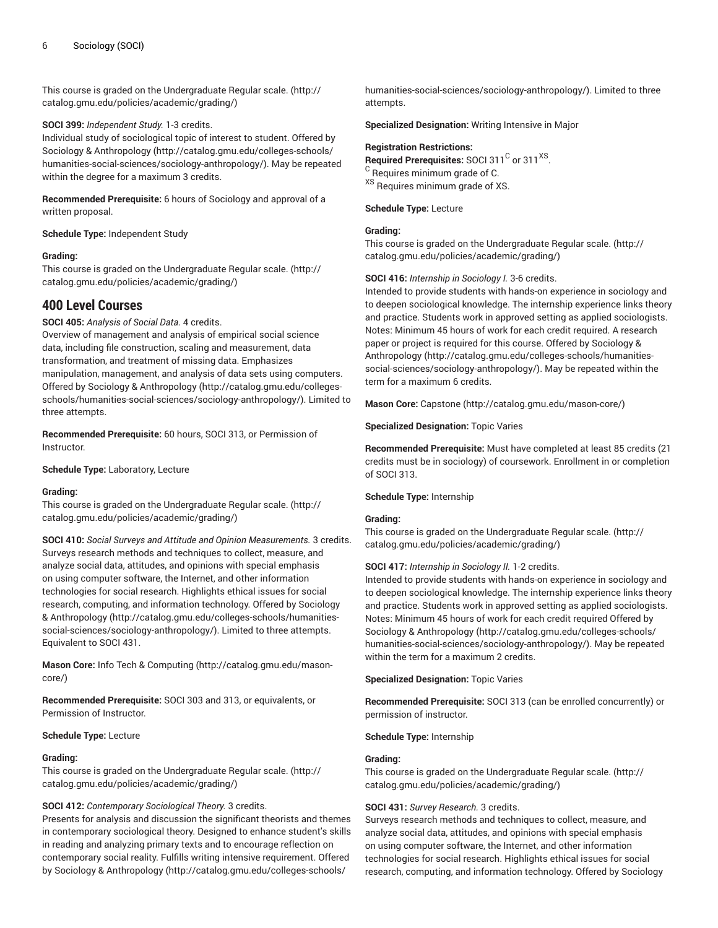This course is graded on the [Undergraduate](http://catalog.gmu.edu/policies/academic/grading/) Regular scale. ([http://](http://catalog.gmu.edu/policies/academic/grading/) [catalog.gmu.edu/policies/academic/grading/\)](http://catalog.gmu.edu/policies/academic/grading/)

#### **SOCI 399:** *Independent Study.* 1-3 credits.

Individual study of sociological topic of interest to student. Offered by Sociology & [Anthropology \(http://catalog.gmu.edu/colleges-schools/](http://catalog.gmu.edu/colleges-schools/humanities-social-sciences/sociology-anthropology/) [humanities-social-sciences/sociology-anthropology/\)](http://catalog.gmu.edu/colleges-schools/humanities-social-sciences/sociology-anthropology/). May be repeated within the degree for a maximum 3 credits.

**Recommended Prerequisite:** 6 hours of Sociology and approval of a written proposal.

**Schedule Type:** Independent Study

#### **Grading:**

This course is graded on the [Undergraduate](http://catalog.gmu.edu/policies/academic/grading/) Regular scale. ([http://](http://catalog.gmu.edu/policies/academic/grading/) [catalog.gmu.edu/policies/academic/grading/\)](http://catalog.gmu.edu/policies/academic/grading/)

# **400 Level Courses**

**SOCI 405:** *Analysis of Social Data.* 4 credits.

Overview of management and analysis of empirical social science data, including file construction, scaling and measurement, data transformation, and treatment of missing data. Emphasizes manipulation, management, and analysis of data sets using computers. Offered by Sociology & [Anthropology \(http://catalog.gmu.edu/colleges](http://catalog.gmu.edu/colleges-schools/humanities-social-sciences/sociology-anthropology/)[schools/humanities-social-sciences/sociology-anthropology/](http://catalog.gmu.edu/colleges-schools/humanities-social-sciences/sociology-anthropology/)). Limited to three attempts.

**Recommended Prerequisite:** 60 hours, SOCI 313, or Permission of Instructor.

**Schedule Type:** Laboratory, Lecture

#### **Grading:**

This course is graded on the [Undergraduate](http://catalog.gmu.edu/policies/academic/grading/) Regular scale. ([http://](http://catalog.gmu.edu/policies/academic/grading/) [catalog.gmu.edu/policies/academic/grading/\)](http://catalog.gmu.edu/policies/academic/grading/)

**SOCI 410:** *Social Surveys and Attitude and Opinion Measurements.* 3 credits. Surveys research methods and techniques to collect, measure, and analyze social data, attitudes, and opinions with special emphasis on using computer software, the Internet, and other information technologies for social research. Highlights ethical issues for social research, computing, and information technology. Offered by [Sociology](http://catalog.gmu.edu/colleges-schools/humanities-social-sciences/sociology-anthropology/) & [Anthropology](http://catalog.gmu.edu/colleges-schools/humanities-social-sciences/sociology-anthropology/) [\(http://catalog.gmu.edu/colleges-schools/humanities](http://catalog.gmu.edu/colleges-schools/humanities-social-sciences/sociology-anthropology/)[social-sciences/sociology-anthropology/](http://catalog.gmu.edu/colleges-schools/humanities-social-sciences/sociology-anthropology/)). Limited to three attempts. Equivalent to SOCI 431.

**Mason Core:** Info Tech & [Computing](http://catalog.gmu.edu/mason-core/) ([http://catalog.gmu.edu/mason](http://catalog.gmu.edu/mason-core/)[core/\)](http://catalog.gmu.edu/mason-core/)

**Recommended Prerequisite:** SOCI 303 and 313, or equivalents, or Permission of Instructor.

**Schedule Type:** Lecture

#### **Grading:**

This course is graded on the [Undergraduate](http://catalog.gmu.edu/policies/academic/grading/) Regular scale. ([http://](http://catalog.gmu.edu/policies/academic/grading/) [catalog.gmu.edu/policies/academic/grading/\)](http://catalog.gmu.edu/policies/academic/grading/)

# **SOCI 412:** *Contemporary Sociological Theory.* 3 credits.

Presents for analysis and discussion the significant theorists and themes in contemporary sociological theory. Designed to enhance student's skills in reading and analyzing primary texts and to encourage reflection on contemporary social reality. Fulfills writing intensive requirement. Offered by Sociology & [Anthropology](http://catalog.gmu.edu/colleges-schools/humanities-social-sciences/sociology-anthropology/) ([http://catalog.gmu.edu/colleges-schools/](http://catalog.gmu.edu/colleges-schools/humanities-social-sciences/sociology-anthropology/)

[humanities-social-sciences/sociology-anthropology/](http://catalog.gmu.edu/colleges-schools/humanities-social-sciences/sociology-anthropology/)). Limited to three attempts.

**Specialized Designation:** Writing Intensive in Major

#### **Registration Restrictions:**

Required Prerequisites: SOCI 311<sup>C</sup> or 311<sup>XS</sup>. <sup>C</sup> Requires minimum grade of C. XS Requires minimum grade of XS.

#### **Schedule Type:** Lecture

# **Grading:**

This course is graded on the [Undergraduate](http://catalog.gmu.edu/policies/academic/grading/) Regular scale. ([http://](http://catalog.gmu.edu/policies/academic/grading/) [catalog.gmu.edu/policies/academic/grading/](http://catalog.gmu.edu/policies/academic/grading/))

#### **SOCI 416:** *Internship in Sociology I.* 3-6 credits.

Intended to provide students with hands-on experience in sociology and to deepen sociological knowledge. The internship experience links theory and practice. Students work in approved setting as applied sociologists. Notes: Minimum 45 hours of work for each credit required. A research paper or project is required for this course. Offered by [Sociology &](http://catalog.gmu.edu/colleges-schools/humanities-social-sciences/sociology-anthropology/) [Anthropology \(http://catalog.gmu.edu/colleges-schools/humanities](http://catalog.gmu.edu/colleges-schools/humanities-social-sciences/sociology-anthropology/)[social-sciences/sociology-anthropology/\)](http://catalog.gmu.edu/colleges-schools/humanities-social-sciences/sociology-anthropology/). May be repeated within the term for a maximum 6 credits.

**Mason Core:** [Capstone](http://catalog.gmu.edu/mason-core/) ([http://catalog.gmu.edu/mason-core/\)](http://catalog.gmu.edu/mason-core/)

**Specialized Designation:** Topic Varies

**Recommended Prerequisite:** Must have completed at least 85 credits (21 credits must be in sociology) of coursework. Enrollment in or completion of SOCI 313.

#### **Schedule Type:** Internship

# **Grading:**

This course is graded on the [Undergraduate](http://catalog.gmu.edu/policies/academic/grading/) Regular scale. ([http://](http://catalog.gmu.edu/policies/academic/grading/) [catalog.gmu.edu/policies/academic/grading/](http://catalog.gmu.edu/policies/academic/grading/))

#### **SOCI 417:** *Internship in Sociology II.* 1-2 credits.

Intended to provide students with hands-on experience in sociology and to deepen sociological knowledge. The internship experience links theory and practice. Students work in approved setting as applied sociologists. Notes: Minimum 45 hours of work for each credit required Offered by Sociology & [Anthropology](http://catalog.gmu.edu/colleges-schools/humanities-social-sciences/sociology-anthropology/) ([http://catalog.gmu.edu/colleges-schools/](http://catalog.gmu.edu/colleges-schools/humanities-social-sciences/sociology-anthropology/) [humanities-social-sciences/sociology-anthropology/](http://catalog.gmu.edu/colleges-schools/humanities-social-sciences/sociology-anthropology/)). May be repeated within the term for a maximum 2 credits.

**Specialized Designation:** Topic Varies

**Recommended Prerequisite:** SOCI 313 (can be enrolled concurrently) or permission of instructor.

**Schedule Type:** Internship

#### **Grading:**

This course is graded on the [Undergraduate](http://catalog.gmu.edu/policies/academic/grading/) Regular scale. ([http://](http://catalog.gmu.edu/policies/academic/grading/) [catalog.gmu.edu/policies/academic/grading/](http://catalog.gmu.edu/policies/academic/grading/))

# **SOCI 431:** *Survey Research.* 3 credits.

Surveys research methods and techniques to collect, measure, and analyze social data, attitudes, and opinions with special emphasis on using computer software, the Internet, and other information technologies for social research. Highlights ethical issues for social research, computing, and information technology. Offered by [Sociology](http://catalog.gmu.edu/colleges-schools/humanities-social-sciences/sociology-anthropology/)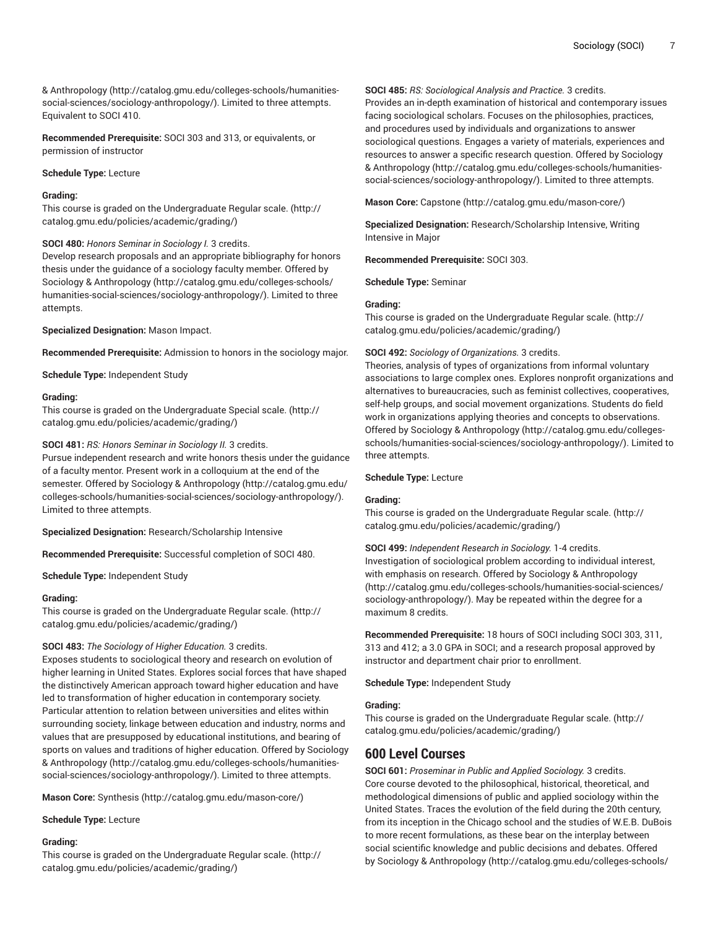& [Anthropology](http://catalog.gmu.edu/colleges-schools/humanities-social-sciences/sociology-anthropology/) [\(http://catalog.gmu.edu/colleges-schools/humanities](http://catalog.gmu.edu/colleges-schools/humanities-social-sciences/sociology-anthropology/)[social-sciences/sociology-anthropology/](http://catalog.gmu.edu/colleges-schools/humanities-social-sciences/sociology-anthropology/)). Limited to three attempts. Equivalent to SOCI 410.

**Recommended Prerequisite:** SOCI 303 and 313, or equivalents, or permission of instructor

#### **Schedule Type:** Lecture

#### **Grading:**

This course is graded on the [Undergraduate](http://catalog.gmu.edu/policies/academic/grading/) Regular scale. ([http://](http://catalog.gmu.edu/policies/academic/grading/) [catalog.gmu.edu/policies/academic/grading/\)](http://catalog.gmu.edu/policies/academic/grading/)

#### **SOCI 480:** *Honors Seminar in Sociology I.* 3 credits.

Develop research proposals and an appropriate bibliography for honors thesis under the guidance of a sociology faculty member. Offered by Sociology & [Anthropology \(http://catalog.gmu.edu/colleges-schools/](http://catalog.gmu.edu/colleges-schools/humanities-social-sciences/sociology-anthropology/) [humanities-social-sciences/sociology-anthropology/\)](http://catalog.gmu.edu/colleges-schools/humanities-social-sciences/sociology-anthropology/). Limited to three attempts.

**Specialized Designation:** Mason Impact.

**Recommended Prerequisite:** Admission to honors in the sociology major.

**Schedule Type:** Independent Study

#### **Grading:**

This course is graded on the [Undergraduate](http://catalog.gmu.edu/policies/academic/grading/) Special scale. [\(http://](http://catalog.gmu.edu/policies/academic/grading/) [catalog.gmu.edu/policies/academic/grading/\)](http://catalog.gmu.edu/policies/academic/grading/)

#### **SOCI 481:** *RS: Honors Seminar in Sociology II.* 3 credits.

Pursue independent research and write honors thesis under the guidance of a faculty mentor. Present work in a colloquium at the end of the semester. Offered by Sociology & [Anthropology \(http://catalog.gmu.edu/](http://catalog.gmu.edu/colleges-schools/humanities-social-sciences/sociology-anthropology/) [colleges-schools/humanities-social-sciences/sociology-anthropology/\)](http://catalog.gmu.edu/colleges-schools/humanities-social-sciences/sociology-anthropology/). Limited to three attempts.

**Specialized Designation:** Research/Scholarship Intensive

**Recommended Prerequisite:** Successful completion of SOCI 480.

**Schedule Type:** Independent Study

#### **Grading:**

This course is graded on the [Undergraduate](http://catalog.gmu.edu/policies/academic/grading/) Regular scale. ([http://](http://catalog.gmu.edu/policies/academic/grading/) [catalog.gmu.edu/policies/academic/grading/\)](http://catalog.gmu.edu/policies/academic/grading/)

# **SOCI 483:** *The Sociology of Higher Education.* 3 credits.

Exposes students to sociological theory and research on evolution of higher learning in United States. Explores social forces that have shaped the distinctively American approach toward higher education and have led to transformation of higher education in contemporary society. Particular attention to relation between universities and elites within surrounding society, linkage between education and industry, norms and values that are presupposed by educational institutions, and bearing of sports on values and traditions of higher education. Offered by [Sociology](http://catalog.gmu.edu/colleges-schools/humanities-social-sciences/sociology-anthropology/) & [Anthropology](http://catalog.gmu.edu/colleges-schools/humanities-social-sciences/sociology-anthropology/) [\(http://catalog.gmu.edu/colleges-schools/humanities](http://catalog.gmu.edu/colleges-schools/humanities-social-sciences/sociology-anthropology/)[social-sciences/sociology-anthropology/](http://catalog.gmu.edu/colleges-schools/humanities-social-sciences/sociology-anthropology/)). Limited to three attempts.

**Mason Core:** [Synthesis \(http://catalog.gmu.edu/mason-core/](http://catalog.gmu.edu/mason-core/))

#### **Schedule Type:** Lecture

# **Grading:**

This course is graded on the [Undergraduate](http://catalog.gmu.edu/policies/academic/grading/) Regular scale. ([http://](http://catalog.gmu.edu/policies/academic/grading/) [catalog.gmu.edu/policies/academic/grading/\)](http://catalog.gmu.edu/policies/academic/grading/)

**SOCI 485:** *RS: Sociological Analysis and Practice.* 3 credits.

Provides an in-depth examination of historical and contemporary issues facing sociological scholars. Focuses on the philosophies, practices, and procedures used by individuals and organizations to answer sociological questions. Engages a variety of materials, experiences and resources to answer a specific research question. Offered by [Sociology](http://catalog.gmu.edu/colleges-schools/humanities-social-sciences/sociology-anthropology/) & [Anthropology \(http://catalog.gmu.edu/colleges-schools/humanities](http://catalog.gmu.edu/colleges-schools/humanities-social-sciences/sociology-anthropology/)[social-sciences/sociology-anthropology/\)](http://catalog.gmu.edu/colleges-schools/humanities-social-sciences/sociology-anthropology/). Limited to three attempts.

**Mason Core:** [Capstone](http://catalog.gmu.edu/mason-core/) ([http://catalog.gmu.edu/mason-core/\)](http://catalog.gmu.edu/mason-core/)

**Specialized Designation:** Research/Scholarship Intensive, Writing Intensive in Major

**Recommended Prerequisite:** SOCI 303.

**Schedule Type:** Seminar

#### **Grading:**

This course is graded on the [Undergraduate](http://catalog.gmu.edu/policies/academic/grading/) Regular scale. ([http://](http://catalog.gmu.edu/policies/academic/grading/) [catalog.gmu.edu/policies/academic/grading/](http://catalog.gmu.edu/policies/academic/grading/))

#### **SOCI 492:** *Sociology of Organizations.* 3 credits.

Theories, analysis of types of organizations from informal voluntary associations to large complex ones. Explores nonprofit organizations and alternatives to bureaucracies, such as feminist collectives, cooperatives, self-help groups, and social movement organizations. Students do field work in organizations applying theories and concepts to observations. Offered by Sociology & [Anthropology](http://catalog.gmu.edu/colleges-schools/humanities-social-sciences/sociology-anthropology/) ([http://catalog.gmu.edu/colleges](http://catalog.gmu.edu/colleges-schools/humanities-social-sciences/sociology-anthropology/)[schools/humanities-social-sciences/sociology-anthropology/\)](http://catalog.gmu.edu/colleges-schools/humanities-social-sciences/sociology-anthropology/). Limited to three attempts.

#### **Schedule Type:** Lecture

#### **Grading:**

This course is graded on the [Undergraduate](http://catalog.gmu.edu/policies/academic/grading/) Regular scale. ([http://](http://catalog.gmu.edu/policies/academic/grading/) [catalog.gmu.edu/policies/academic/grading/](http://catalog.gmu.edu/policies/academic/grading/))

**SOCI 499:** *Independent Research in Sociology.* 1-4 credits. Investigation of sociological problem according to individual interest, with emphasis on research. Offered by Sociology & [Anthropology](http://catalog.gmu.edu/colleges-schools/humanities-social-sciences/sociology-anthropology/) [\(http://catalog.gmu.edu/colleges-schools/humanities-social-sciences/](http://catalog.gmu.edu/colleges-schools/humanities-social-sciences/sociology-anthropology/) [sociology-anthropology/](http://catalog.gmu.edu/colleges-schools/humanities-social-sciences/sociology-anthropology/)). May be repeated within the degree for a maximum 8 credits.

**Recommended Prerequisite:** 18 hours of SOCI including SOCI 303, 311, 313 and 412; a 3.0 GPA in SOCI; and a research proposal approved by instructor and department chair prior to enrollment.

**Schedule Type:** Independent Study

#### **Grading:**

This course is graded on the [Undergraduate](http://catalog.gmu.edu/policies/academic/grading/) Regular scale. ([http://](http://catalog.gmu.edu/policies/academic/grading/) [catalog.gmu.edu/policies/academic/grading/](http://catalog.gmu.edu/policies/academic/grading/))

# **600 Level Courses**

**SOCI 601:** *Proseminar in Public and Applied Sociology.* 3 credits. Core course devoted to the philosophical, historical, theoretical, and methodological dimensions of public and applied sociology within the United States. Traces the evolution of the field during the 20th century, from its inception in the Chicago school and the studies of W.E.B. DuBois to more recent formulations, as these bear on the interplay between social scientific knowledge and public decisions and debates. Offered by Sociology & [Anthropology \(http://catalog.gmu.edu/colleges-schools/](http://catalog.gmu.edu/colleges-schools/humanities-social-sciences/sociology-anthropology/)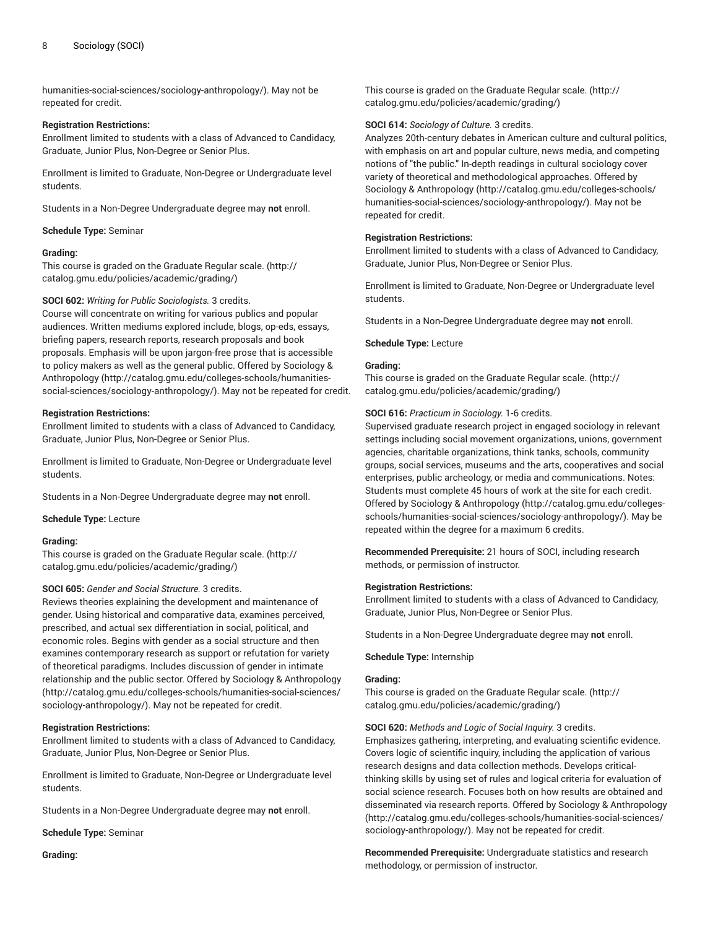[humanities-social-sciences/sociology-anthropology/\)](http://catalog.gmu.edu/colleges-schools/humanities-social-sciences/sociology-anthropology/). May not be repeated for credit.

#### **Registration Restrictions:**

Enrollment limited to students with a class of Advanced to Candidacy, Graduate, Junior Plus, Non-Degree or Senior Plus.

Enrollment is limited to Graduate, Non-Degree or Undergraduate level students.

Students in a Non-Degree Undergraduate degree may **not** enroll.

**Schedule Type:** Seminar

#### **Grading:**

This course is graded on the [Graduate Regular scale.](http://catalog.gmu.edu/policies/academic/grading/) [\(http://](http://catalog.gmu.edu/policies/academic/grading/) [catalog.gmu.edu/policies/academic/grading/\)](http://catalog.gmu.edu/policies/academic/grading/)

#### **SOCI 602:** *Writing for Public Sociologists.* 3 credits.

Course will concentrate on writing for various publics and popular audiences. Written mediums explored include, blogs, op-eds, essays, briefing papers, research reports, research proposals and book proposals. Emphasis will be upon jargon-free prose that is accessible to policy makers as well as the general public. Offered by [Sociology &](http://catalog.gmu.edu/colleges-schools/humanities-social-sciences/sociology-anthropology/) [Anthropology](http://catalog.gmu.edu/colleges-schools/humanities-social-sciences/sociology-anthropology/) [\(http://catalog.gmu.edu/colleges-schools/humanities](http://catalog.gmu.edu/colleges-schools/humanities-social-sciences/sociology-anthropology/)[social-sciences/sociology-anthropology/](http://catalog.gmu.edu/colleges-schools/humanities-social-sciences/sociology-anthropology/)). May not be repeated for credit.

#### **Registration Restrictions:**

Enrollment limited to students with a class of Advanced to Candidacy, Graduate, Junior Plus, Non-Degree or Senior Plus.

Enrollment is limited to Graduate, Non-Degree or Undergraduate level students.

Students in a Non-Degree Undergraduate degree may **not** enroll.

**Schedule Type:** Lecture

#### **Grading:**

This course is graded on the [Graduate Regular scale.](http://catalog.gmu.edu/policies/academic/grading/) [\(http://](http://catalog.gmu.edu/policies/academic/grading/) [catalog.gmu.edu/policies/academic/grading/\)](http://catalog.gmu.edu/policies/academic/grading/)

# **SOCI 605:** *Gender and Social Structure.* 3 credits.

Reviews theories explaining the development and maintenance of gender. Using historical and comparative data, examines perceived, prescribed, and actual sex differentiation in social, political, and economic roles. Begins with gender as a social structure and then examines contemporary research as support or refutation for variety of theoretical paradigms. Includes discussion of gender in intimate relationship and the public sector. Offered by Sociology & [Anthropology](http://catalog.gmu.edu/colleges-schools/humanities-social-sciences/sociology-anthropology/) ([http://catalog.gmu.edu/colleges-schools/humanities-social-sciences/](http://catalog.gmu.edu/colleges-schools/humanities-social-sciences/sociology-anthropology/) [sociology-anthropology/\)](http://catalog.gmu.edu/colleges-schools/humanities-social-sciences/sociology-anthropology/). May not be repeated for credit.

# **Registration Restrictions:**

Enrollment limited to students with a class of Advanced to Candidacy, Graduate, Junior Plus, Non-Degree or Senior Plus.

Enrollment is limited to Graduate, Non-Degree or Undergraduate level students.

Students in a Non-Degree Undergraduate degree may **not** enroll.

**Schedule Type:** Seminar

**Grading:**

This course is graded on the [Graduate Regular scale.](http://catalog.gmu.edu/policies/academic/grading/) ([http://](http://catalog.gmu.edu/policies/academic/grading/) [catalog.gmu.edu/policies/academic/grading/](http://catalog.gmu.edu/policies/academic/grading/))

## **SOCI 614:** *Sociology of Culture.* 3 credits.

Analyzes 20th-century debates in American culture and cultural politics, with emphasis on art and popular culture, news media, and competing notions of "the public." In-depth readings in cultural sociology cover variety of theoretical and methodological approaches. Offered by Sociology & [Anthropology](http://catalog.gmu.edu/colleges-schools/humanities-social-sciences/sociology-anthropology/) ([http://catalog.gmu.edu/colleges-schools/](http://catalog.gmu.edu/colleges-schools/humanities-social-sciences/sociology-anthropology/) [humanities-social-sciences/sociology-anthropology/](http://catalog.gmu.edu/colleges-schools/humanities-social-sciences/sociology-anthropology/)). May not be repeated for credit.

#### **Registration Restrictions:**

Enrollment limited to students with a class of Advanced to Candidacy, Graduate, Junior Plus, Non-Degree or Senior Plus.

Enrollment is limited to Graduate, Non-Degree or Undergraduate level students.

Students in a Non-Degree Undergraduate degree may **not** enroll.

**Schedule Type:** Lecture

# **Grading:**

This course is graded on the [Graduate Regular scale.](http://catalog.gmu.edu/policies/academic/grading/) ([http://](http://catalog.gmu.edu/policies/academic/grading/) [catalog.gmu.edu/policies/academic/grading/](http://catalog.gmu.edu/policies/academic/grading/))

## **SOCI 616:** *Practicum in Sociology.* 1-6 credits.

Supervised graduate research project in engaged sociology in relevant settings including social movement organizations, unions, government agencies, charitable organizations, think tanks, schools, community groups, social services, museums and the arts, cooperatives and social enterprises, public archeology, or media and communications. Notes: Students must complete 45 hours of work at the site for each credit. Offered by Sociology & [Anthropology](http://catalog.gmu.edu/colleges-schools/humanities-social-sciences/sociology-anthropology/) ([http://catalog.gmu.edu/colleges](http://catalog.gmu.edu/colleges-schools/humanities-social-sciences/sociology-anthropology/)[schools/humanities-social-sciences/sociology-anthropology/\)](http://catalog.gmu.edu/colleges-schools/humanities-social-sciences/sociology-anthropology/). May be repeated within the degree for a maximum 6 credits.

**Recommended Prerequisite:** 21 hours of SOCI, including research methods, or permission of instructor.

#### **Registration Restrictions:**

Enrollment limited to students with a class of Advanced to Candidacy, Graduate, Junior Plus, Non-Degree or Senior Plus.

Students in a Non-Degree Undergraduate degree may **not** enroll.

**Schedule Type:** Internship

#### **Grading:**

This course is graded on the [Graduate Regular scale.](http://catalog.gmu.edu/policies/academic/grading/) ([http://](http://catalog.gmu.edu/policies/academic/grading/) [catalog.gmu.edu/policies/academic/grading/](http://catalog.gmu.edu/policies/academic/grading/))

**SOCI 620:** *Methods and Logic of Social Inquiry.* 3 credits. Emphasizes gathering, interpreting, and evaluating scientific evidence. Covers logic of scientific inquiry, including the application of various research designs and data collection methods. Develops criticalthinking skills by using set of rules and logical criteria for evaluation of social science research. Focuses both on how results are obtained and disseminated via research reports. Offered by Sociology & [Anthropology](http://catalog.gmu.edu/colleges-schools/humanities-social-sciences/sociology-anthropology/) [\(http://catalog.gmu.edu/colleges-schools/humanities-social-sciences/](http://catalog.gmu.edu/colleges-schools/humanities-social-sciences/sociology-anthropology/) [sociology-anthropology/](http://catalog.gmu.edu/colleges-schools/humanities-social-sciences/sociology-anthropology/)). May not be repeated for credit.

**Recommended Prerequisite:** Undergraduate statistics and research methodology, or permission of instructor.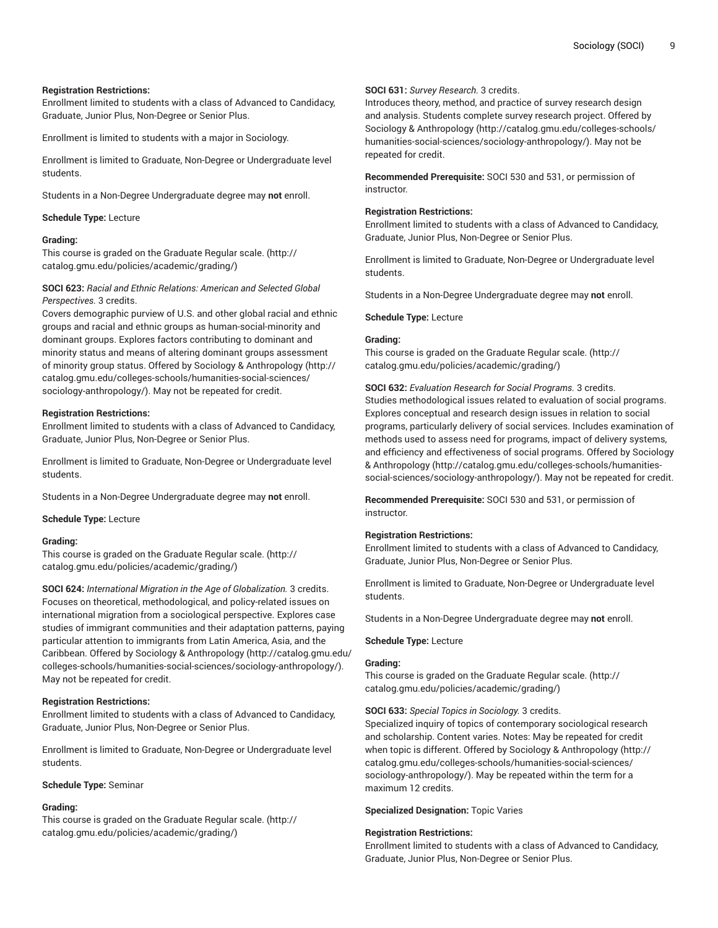# **Registration Restrictions:**

Enrollment limited to students with a class of Advanced to Candidacy, Graduate, Junior Plus, Non-Degree or Senior Plus.

Enrollment is limited to students with a major in Sociology.

Enrollment is limited to Graduate, Non-Degree or Undergraduate level students.

Students in a Non-Degree Undergraduate degree may **not** enroll.

# **Schedule Type:** Lecture

# **Grading:**

This course is graded on the [Graduate Regular scale.](http://catalog.gmu.edu/policies/academic/grading/) [\(http://](http://catalog.gmu.edu/policies/academic/grading/) [catalog.gmu.edu/policies/academic/grading/\)](http://catalog.gmu.edu/policies/academic/grading/)

**SOCI 623:** *Racial and Ethnic Relations: American and Selected Global Perspectives.* 3 credits.

Covers demographic purview of U.S. and other global racial and ethnic groups and racial and ethnic groups as human-social-minority and dominant groups. Explores factors contributing to dominant and minority status and means of altering dominant groups assessment of minority group status. Offered by Sociology & [Anthropology](http://catalog.gmu.edu/colleges-schools/humanities-social-sciences/sociology-anthropology/) [\(http://](http://catalog.gmu.edu/colleges-schools/humanities-social-sciences/sociology-anthropology/) [catalog.gmu.edu/colleges-schools/humanities-social-sciences/](http://catalog.gmu.edu/colleges-schools/humanities-social-sciences/sociology-anthropology/) [sociology-anthropology/\)](http://catalog.gmu.edu/colleges-schools/humanities-social-sciences/sociology-anthropology/). May not be repeated for credit.

# **Registration Restrictions:**

Enrollment limited to students with a class of Advanced to Candidacy, Graduate, Junior Plus, Non-Degree or Senior Plus.

Enrollment is limited to Graduate, Non-Degree or Undergraduate level students.

Students in a Non-Degree Undergraduate degree may **not** enroll.

**Schedule Type:** Lecture

# **Grading:**

This course is graded on the [Graduate Regular scale.](http://catalog.gmu.edu/policies/academic/grading/) [\(http://](http://catalog.gmu.edu/policies/academic/grading/) [catalog.gmu.edu/policies/academic/grading/\)](http://catalog.gmu.edu/policies/academic/grading/)

**SOCI 624:** *International Migration in the Age of Globalization.* 3 credits. Focuses on theoretical, methodological, and policy-related issues on international migration from a sociological perspective. Explores case studies of immigrant communities and their adaptation patterns, paying particular attention to immigrants from Latin America, Asia, and the Caribbean. Offered by Sociology & [Anthropology](http://catalog.gmu.edu/colleges-schools/humanities-social-sciences/sociology-anthropology/) [\(http://catalog.gmu.edu/](http://catalog.gmu.edu/colleges-schools/humanities-social-sciences/sociology-anthropology/) [colleges-schools/humanities-social-sciences/sociology-anthropology/\)](http://catalog.gmu.edu/colleges-schools/humanities-social-sciences/sociology-anthropology/). May not be repeated for credit.

# **Registration Restrictions:**

Enrollment limited to students with a class of Advanced to Candidacy, Graduate, Junior Plus, Non-Degree or Senior Plus.

Enrollment is limited to Graduate, Non-Degree or Undergraduate level students.

# **Schedule Type:** Seminar

# **Grading:**

This course is graded on the [Graduate Regular scale.](http://catalog.gmu.edu/policies/academic/grading/) [\(http://](http://catalog.gmu.edu/policies/academic/grading/) [catalog.gmu.edu/policies/academic/grading/\)](http://catalog.gmu.edu/policies/academic/grading/)

# **SOCI 631:** *Survey Research.* 3 credits.

Introduces theory, method, and practice of survey research design and analysis. Students complete survey research project. Offered by Sociology & [Anthropology](http://catalog.gmu.edu/colleges-schools/humanities-social-sciences/sociology-anthropology/) ([http://catalog.gmu.edu/colleges-schools/](http://catalog.gmu.edu/colleges-schools/humanities-social-sciences/sociology-anthropology/) [humanities-social-sciences/sociology-anthropology/](http://catalog.gmu.edu/colleges-schools/humanities-social-sciences/sociology-anthropology/)). May not be repeated for credit.

**Recommended Prerequisite:** SOCI 530 and 531, or permission of instructor.

# **Registration Restrictions:**

Enrollment limited to students with a class of Advanced to Candidacy, Graduate, Junior Plus, Non-Degree or Senior Plus.

Enrollment is limited to Graduate, Non-Degree or Undergraduate level students.

Students in a Non-Degree Undergraduate degree may **not** enroll.

# **Schedule Type:** Lecture

# **Grading:**

This course is graded on the [Graduate Regular scale.](http://catalog.gmu.edu/policies/academic/grading/) ([http://](http://catalog.gmu.edu/policies/academic/grading/) [catalog.gmu.edu/policies/academic/grading/](http://catalog.gmu.edu/policies/academic/grading/))

**SOCI 632:** *Evaluation Research for Social Programs.* 3 credits. Studies methodological issues related to evaluation of social programs. Explores conceptual and research design issues in relation to social programs, particularly delivery of social services. Includes examination of methods used to assess need for programs, impact of delivery systems, and efficiency and effectiveness of social programs. Offered by [Sociology](http://catalog.gmu.edu/colleges-schools/humanities-social-sciences/sociology-anthropology/) & [Anthropology \(http://catalog.gmu.edu/colleges-schools/humanities](http://catalog.gmu.edu/colleges-schools/humanities-social-sciences/sociology-anthropology/)[social-sciences/sociology-anthropology/\)](http://catalog.gmu.edu/colleges-schools/humanities-social-sciences/sociology-anthropology/). May not be repeated for credit.

**Recommended Prerequisite:** SOCI 530 and 531, or permission of instructor.

# **Registration Restrictions:**

Enrollment limited to students with a class of Advanced to Candidacy, Graduate, Junior Plus, Non-Degree or Senior Plus.

Enrollment is limited to Graduate, Non-Degree or Undergraduate level students.

Students in a Non-Degree Undergraduate degree may **not** enroll.

# **Schedule Type:** Lecture

# **Grading:**

This course is graded on the [Graduate Regular scale.](http://catalog.gmu.edu/policies/academic/grading/) ([http://](http://catalog.gmu.edu/policies/academic/grading/) [catalog.gmu.edu/policies/academic/grading/](http://catalog.gmu.edu/policies/academic/grading/))

**SOCI 633:** *Special Topics in Sociology.* 3 credits.

Specialized inquiry of topics of contemporary sociological research and scholarship. Content varies. Notes: May be repeated for credit when topic is different. Offered by Sociology & [Anthropology](http://catalog.gmu.edu/colleges-schools/humanities-social-sciences/sociology-anthropology/) ([http://](http://catalog.gmu.edu/colleges-schools/humanities-social-sciences/sociology-anthropology/) [catalog.gmu.edu/colleges-schools/humanities-social-sciences/](http://catalog.gmu.edu/colleges-schools/humanities-social-sciences/sociology-anthropology/) [sociology-anthropology/](http://catalog.gmu.edu/colleges-schools/humanities-social-sciences/sociology-anthropology/)). May be repeated within the term for a maximum 12 credits.

**Specialized Designation:** Topic Varies

# **Registration Restrictions:**

Enrollment limited to students with a class of Advanced to Candidacy, Graduate, Junior Plus, Non-Degree or Senior Plus.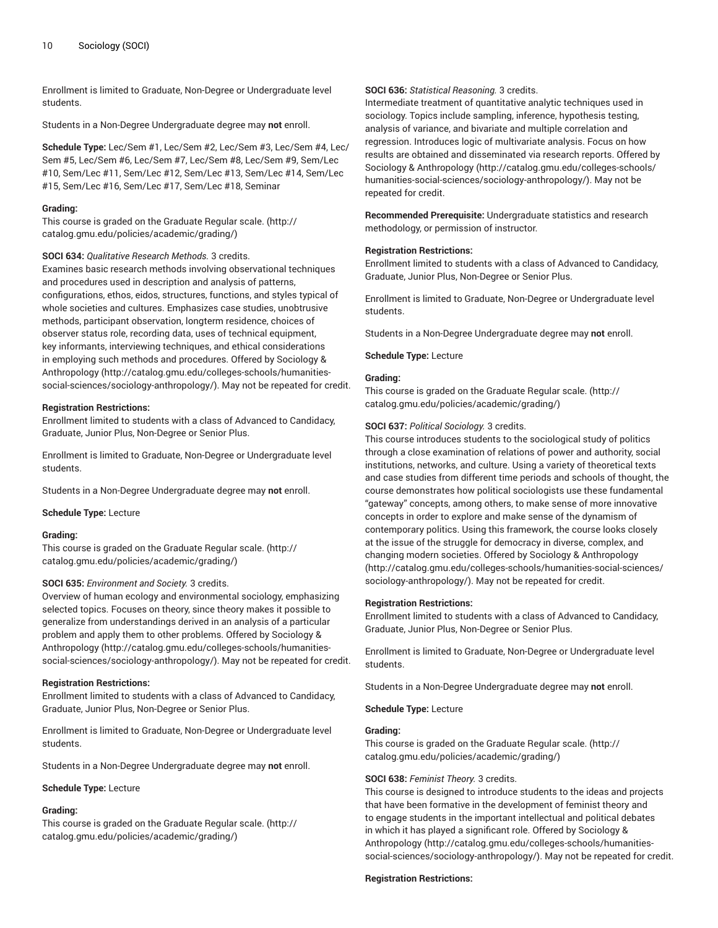Enrollment is limited to Graduate, Non-Degree or Undergraduate level students.

Students in a Non-Degree Undergraduate degree may **not** enroll.

**Schedule Type:** Lec/Sem #1, Lec/Sem #2, Lec/Sem #3, Lec/Sem #4, Lec/ Sem #5, Lec/Sem #6, Lec/Sem #7, Lec/Sem #8, Lec/Sem #9, Sem/Lec #10, Sem/Lec #11, Sem/Lec #12, Sem/Lec #13, Sem/Lec #14, Sem/Lec #15, Sem/Lec #16, Sem/Lec #17, Sem/Lec #18, Seminar

#### **Grading:**

This course is graded on the [Graduate Regular scale.](http://catalog.gmu.edu/policies/academic/grading/) [\(http://](http://catalog.gmu.edu/policies/academic/grading/) [catalog.gmu.edu/policies/academic/grading/\)](http://catalog.gmu.edu/policies/academic/grading/)

# **SOCI 634:** *Qualitative Research Methods.* 3 credits.

Examines basic research methods involving observational techniques and procedures used in description and analysis of patterns, configurations, ethos, eidos, structures, functions, and styles typical of whole societies and cultures. Emphasizes case studies, unobtrusive methods, participant observation, longterm residence, choices of observer status role, recording data, uses of technical equipment, key informants, interviewing techniques, and ethical considerations in employing such methods and procedures. Offered by [Sociology &](http://catalog.gmu.edu/colleges-schools/humanities-social-sciences/sociology-anthropology/) [Anthropology](http://catalog.gmu.edu/colleges-schools/humanities-social-sciences/sociology-anthropology/) [\(http://catalog.gmu.edu/colleges-schools/humanities](http://catalog.gmu.edu/colleges-schools/humanities-social-sciences/sociology-anthropology/)[social-sciences/sociology-anthropology/](http://catalog.gmu.edu/colleges-schools/humanities-social-sciences/sociology-anthropology/)). May not be repeated for credit.

#### **Registration Restrictions:**

Enrollment limited to students with a class of Advanced to Candidacy, Graduate, Junior Plus, Non-Degree or Senior Plus.

Enrollment is limited to Graduate, Non-Degree or Undergraduate level students.

Students in a Non-Degree Undergraduate degree may **not** enroll.

**Schedule Type:** Lecture

## **Grading:**

This course is graded on the [Graduate Regular scale.](http://catalog.gmu.edu/policies/academic/grading/) [\(http://](http://catalog.gmu.edu/policies/academic/grading/) [catalog.gmu.edu/policies/academic/grading/\)](http://catalog.gmu.edu/policies/academic/grading/)

# **SOCI 635:** *Environment and Society.* 3 credits.

Overview of human ecology and environmental sociology, emphasizing selected topics. Focuses on theory, since theory makes it possible to generalize from understandings derived in an analysis of a particular problem and apply them to other problems. Offered by [Sociology &](http://catalog.gmu.edu/colleges-schools/humanities-social-sciences/sociology-anthropology/) [Anthropology](http://catalog.gmu.edu/colleges-schools/humanities-social-sciences/sociology-anthropology/) [\(http://catalog.gmu.edu/colleges-schools/humanities](http://catalog.gmu.edu/colleges-schools/humanities-social-sciences/sociology-anthropology/)[social-sciences/sociology-anthropology/](http://catalog.gmu.edu/colleges-schools/humanities-social-sciences/sociology-anthropology/)). May not be repeated for credit.

#### **Registration Restrictions:**

Enrollment limited to students with a class of Advanced to Candidacy, Graduate, Junior Plus, Non-Degree or Senior Plus.

Enrollment is limited to Graduate, Non-Degree or Undergraduate level students.

Students in a Non-Degree Undergraduate degree may **not** enroll.

#### **Schedule Type:** Lecture

#### **Grading:**

This course is graded on the [Graduate Regular scale.](http://catalog.gmu.edu/policies/academic/grading/) [\(http://](http://catalog.gmu.edu/policies/academic/grading/) [catalog.gmu.edu/policies/academic/grading/\)](http://catalog.gmu.edu/policies/academic/grading/)

#### **SOCI 636:** *Statistical Reasoning.* 3 credits.

Intermediate treatment of quantitative analytic techniques used in sociology. Topics include sampling, inference, hypothesis testing, analysis of variance, and bivariate and multiple correlation and regression. Introduces logic of multivariate analysis. Focus on how results are obtained and disseminated via research reports. Offered by Sociology & [Anthropology](http://catalog.gmu.edu/colleges-schools/humanities-social-sciences/sociology-anthropology/) ([http://catalog.gmu.edu/colleges-schools/](http://catalog.gmu.edu/colleges-schools/humanities-social-sciences/sociology-anthropology/) [humanities-social-sciences/sociology-anthropology/](http://catalog.gmu.edu/colleges-schools/humanities-social-sciences/sociology-anthropology/)). May not be repeated for credit.

**Recommended Prerequisite:** Undergraduate statistics and research methodology, or permission of instructor.

#### **Registration Restrictions:**

Enrollment limited to students with a class of Advanced to Candidacy, Graduate, Junior Plus, Non-Degree or Senior Plus.

Enrollment is limited to Graduate, Non-Degree or Undergraduate level students.

Students in a Non-Degree Undergraduate degree may **not** enroll.

#### **Schedule Type:** Lecture

#### **Grading:**

This course is graded on the [Graduate Regular scale.](http://catalog.gmu.edu/policies/academic/grading/) ([http://](http://catalog.gmu.edu/policies/academic/grading/) [catalog.gmu.edu/policies/academic/grading/](http://catalog.gmu.edu/policies/academic/grading/))

#### **SOCI 637:** *Political Sociology.* 3 credits.

This course introduces students to the sociological study of politics through a close examination of relations of power and authority, social institutions, networks, and culture. Using a variety of theoretical texts and case studies from different time periods and schools of thought, the course demonstrates how political sociologists use these fundamental "gateway" concepts, among others, to make sense of more innovative concepts in order to explore and make sense of the dynamism of contemporary politics. Using this framework, the course looks closely at the issue of the struggle for democracy in diverse, complex, and changing modern societies. Offered by Sociology & [Anthropology](http://catalog.gmu.edu/colleges-schools/humanities-social-sciences/sociology-anthropology/) [\(http://catalog.gmu.edu/colleges-schools/humanities-social-sciences/](http://catalog.gmu.edu/colleges-schools/humanities-social-sciences/sociology-anthropology/) [sociology-anthropology/](http://catalog.gmu.edu/colleges-schools/humanities-social-sciences/sociology-anthropology/)). May not be repeated for credit.

#### **Registration Restrictions:**

Enrollment limited to students with a class of Advanced to Candidacy, Graduate, Junior Plus, Non-Degree or Senior Plus.

Enrollment is limited to Graduate, Non-Degree or Undergraduate level students.

Students in a Non-Degree Undergraduate degree may **not** enroll.

**Schedule Type:** Lecture

#### **Grading:**

This course is graded on the [Graduate Regular scale.](http://catalog.gmu.edu/policies/academic/grading/) ([http://](http://catalog.gmu.edu/policies/academic/grading/) [catalog.gmu.edu/policies/academic/grading/](http://catalog.gmu.edu/policies/academic/grading/))

#### **SOCI 638:** *Feminist Theory.* 3 credits.

This course is designed to introduce students to the ideas and projects that have been formative in the development of feminist theory and to engage students in the important intellectual and political debates in which it has played a significant role. Offered by [Sociology &](http://catalog.gmu.edu/colleges-schools/humanities-social-sciences/sociology-anthropology/) [Anthropology \(http://catalog.gmu.edu/colleges-schools/humanities](http://catalog.gmu.edu/colleges-schools/humanities-social-sciences/sociology-anthropology/)[social-sciences/sociology-anthropology/\)](http://catalog.gmu.edu/colleges-schools/humanities-social-sciences/sociology-anthropology/). May not be repeated for credit.

**Registration Restrictions:**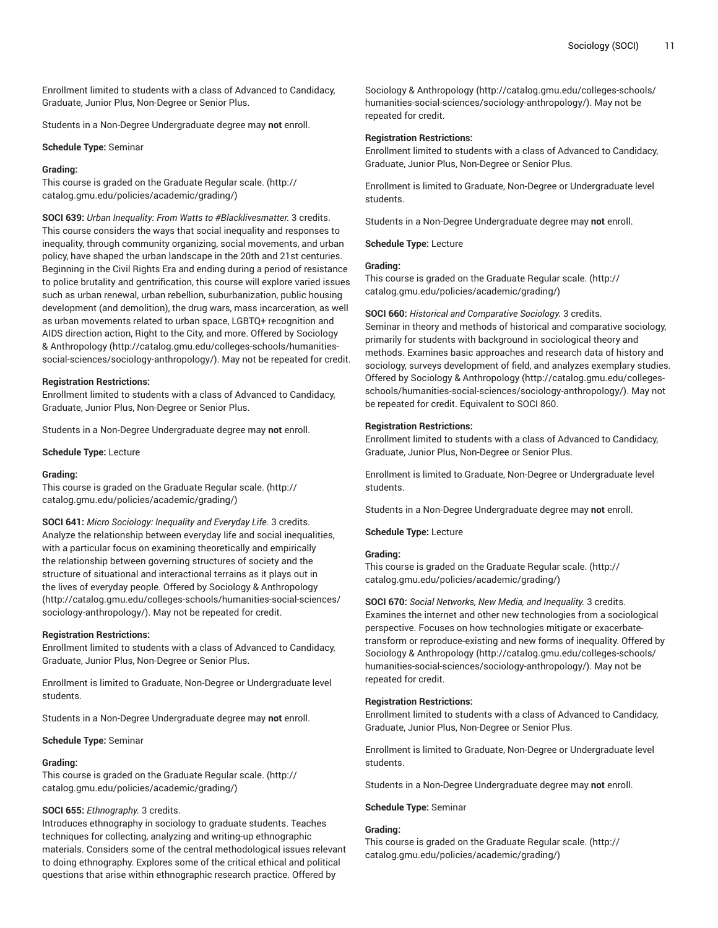Enrollment limited to students with a class of Advanced to Candidacy, Graduate, Junior Plus, Non-Degree or Senior Plus.

Students in a Non-Degree Undergraduate degree may **not** enroll.

#### **Schedule Type:** Seminar

#### **Grading:**

This course is graded on the [Graduate Regular scale.](http://catalog.gmu.edu/policies/academic/grading/) [\(http://](http://catalog.gmu.edu/policies/academic/grading/) [catalog.gmu.edu/policies/academic/grading/\)](http://catalog.gmu.edu/policies/academic/grading/)

**SOCI 639:** *Urban Inequality: From Watts to #Blacklivesmatter.* 3 credits. This course considers the ways that social inequality and responses to inequality, through community organizing, social movements, and urban policy, have shaped the urban landscape in the 20th and 21st centuries. Beginning in the Civil Rights Era and ending during a period of resistance to police brutality and gentrification, this course will explore varied issues such as urban renewal, urban rebellion, suburbanization, public housing development (and demolition), the drug wars, mass incarceration, as well as urban movements related to urban space, LGBTQ+ recognition and AIDS direction action, Right to the City, and more. Offered by [Sociology](http://catalog.gmu.edu/colleges-schools/humanities-social-sciences/sociology-anthropology/) & [Anthropology](http://catalog.gmu.edu/colleges-schools/humanities-social-sciences/sociology-anthropology/) [\(http://catalog.gmu.edu/colleges-schools/humanities](http://catalog.gmu.edu/colleges-schools/humanities-social-sciences/sociology-anthropology/)[social-sciences/sociology-anthropology/](http://catalog.gmu.edu/colleges-schools/humanities-social-sciences/sociology-anthropology/)). May not be repeated for credit.

#### **Registration Restrictions:**

Enrollment limited to students with a class of Advanced to Candidacy, Graduate, Junior Plus, Non-Degree or Senior Plus.

Students in a Non-Degree Undergraduate degree may **not** enroll.

**Schedule Type:** Lecture

#### **Grading:**

This course is graded on the [Graduate Regular scale.](http://catalog.gmu.edu/policies/academic/grading/) [\(http://](http://catalog.gmu.edu/policies/academic/grading/) [catalog.gmu.edu/policies/academic/grading/\)](http://catalog.gmu.edu/policies/academic/grading/)

**SOCI 641:** *Micro Sociology: Inequality and Everyday Life.* 3 credits. Analyze the relationship between everyday life and social inequalities, with a particular focus on examining theoretically and empirically the relationship between governing structures of society and the structure of situational and interactional terrains as it plays out in the lives of everyday people. Offered by Sociology & [Anthropology](http://catalog.gmu.edu/colleges-schools/humanities-social-sciences/sociology-anthropology/) ([http://catalog.gmu.edu/colleges-schools/humanities-social-sciences/](http://catalog.gmu.edu/colleges-schools/humanities-social-sciences/sociology-anthropology/) [sociology-anthropology/\)](http://catalog.gmu.edu/colleges-schools/humanities-social-sciences/sociology-anthropology/). May not be repeated for credit.

#### **Registration Restrictions:**

Enrollment limited to students with a class of Advanced to Candidacy, Graduate, Junior Plus, Non-Degree or Senior Plus.

Enrollment is limited to Graduate, Non-Degree or Undergraduate level students.

Students in a Non-Degree Undergraduate degree may **not** enroll.

**Schedule Type:** Seminar

#### **Grading:**

This course is graded on the [Graduate Regular scale.](http://catalog.gmu.edu/policies/academic/grading/) [\(http://](http://catalog.gmu.edu/policies/academic/grading/) [catalog.gmu.edu/policies/academic/grading/\)](http://catalog.gmu.edu/policies/academic/grading/)

# **SOCI 655:** *Ethnography.* 3 credits.

Introduces ethnography in sociology to graduate students. Teaches techniques for collecting, analyzing and writing-up ethnographic materials. Considers some of the central methodological issues relevant to doing ethnography. Explores some of the critical ethical and political questions that arise within ethnographic research practice. Offered by

Sociology & [Anthropology](http://catalog.gmu.edu/colleges-schools/humanities-social-sciences/sociology-anthropology/) ([http://catalog.gmu.edu/colleges-schools/](http://catalog.gmu.edu/colleges-schools/humanities-social-sciences/sociology-anthropology/) [humanities-social-sciences/sociology-anthropology/](http://catalog.gmu.edu/colleges-schools/humanities-social-sciences/sociology-anthropology/)). May not be repeated for credit.

#### **Registration Restrictions:**

Enrollment limited to students with a class of Advanced to Candidacy, Graduate, Junior Plus, Non-Degree or Senior Plus.

Enrollment is limited to Graduate, Non-Degree or Undergraduate level students.

Students in a Non-Degree Undergraduate degree may **not** enroll.

**Schedule Type:** Lecture

#### **Grading:**

This course is graded on the [Graduate Regular scale.](http://catalog.gmu.edu/policies/academic/grading/) ([http://](http://catalog.gmu.edu/policies/academic/grading/) [catalog.gmu.edu/policies/academic/grading/](http://catalog.gmu.edu/policies/academic/grading/))

**SOCI 660:** *Historical and Comparative Sociology.* 3 credits. Seminar in theory and methods of historical and comparative sociology, primarily for students with background in sociological theory and methods. Examines basic approaches and research data of history and sociology, surveys development of field, and analyzes exemplary studies. Offered by Sociology & [Anthropology](http://catalog.gmu.edu/colleges-schools/humanities-social-sciences/sociology-anthropology/) ([http://catalog.gmu.edu/colleges](http://catalog.gmu.edu/colleges-schools/humanities-social-sciences/sociology-anthropology/)[schools/humanities-social-sciences/sociology-anthropology/\)](http://catalog.gmu.edu/colleges-schools/humanities-social-sciences/sociology-anthropology/). May not be repeated for credit. Equivalent to SOCI 860.

#### **Registration Restrictions:**

Enrollment limited to students with a class of Advanced to Candidacy, Graduate, Junior Plus, Non-Degree or Senior Plus.

Enrollment is limited to Graduate, Non-Degree or Undergraduate level students.

Students in a Non-Degree Undergraduate degree may **not** enroll.

**Schedule Type:** Lecture

#### **Grading:**

This course is graded on the [Graduate Regular scale.](http://catalog.gmu.edu/policies/academic/grading/) ([http://](http://catalog.gmu.edu/policies/academic/grading/) [catalog.gmu.edu/policies/academic/grading/](http://catalog.gmu.edu/policies/academic/grading/))

**SOCI 670:** *Social Networks, New Media, and Inequality.* 3 credits. Examines the internet and other new technologies from a sociological perspective. Focuses on how technologies mitigate or exacerbatetransform or reproduce-existing and new forms of inequality. Offered by Sociology & [Anthropology](http://catalog.gmu.edu/colleges-schools/humanities-social-sciences/sociology-anthropology/) ([http://catalog.gmu.edu/colleges-schools/](http://catalog.gmu.edu/colleges-schools/humanities-social-sciences/sociology-anthropology/) [humanities-social-sciences/sociology-anthropology/](http://catalog.gmu.edu/colleges-schools/humanities-social-sciences/sociology-anthropology/)). May not be repeated for credit.

#### **Registration Restrictions:**

Enrollment limited to students with a class of Advanced to Candidacy, Graduate, Junior Plus, Non-Degree or Senior Plus.

Enrollment is limited to Graduate, Non-Degree or Undergraduate level students.

Students in a Non-Degree Undergraduate degree may **not** enroll.

#### **Schedule Type:** Seminar

# **Grading:**

This course is graded on the [Graduate Regular scale.](http://catalog.gmu.edu/policies/academic/grading/) ([http://](http://catalog.gmu.edu/policies/academic/grading/) [catalog.gmu.edu/policies/academic/grading/](http://catalog.gmu.edu/policies/academic/grading/))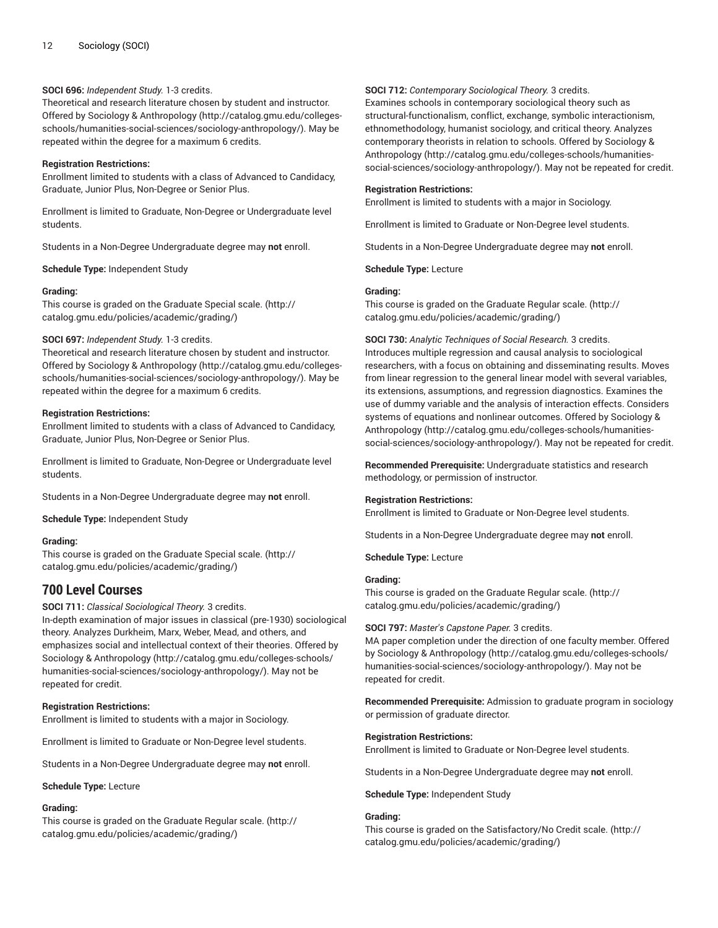# **SOCI 696:** *Independent Study.* 1-3 credits.

Theoretical and research literature chosen by student and instructor. Offered by Sociology & [Anthropology \(http://catalog.gmu.edu/colleges](http://catalog.gmu.edu/colleges-schools/humanities-social-sciences/sociology-anthropology/)[schools/humanities-social-sciences/sociology-anthropology/](http://catalog.gmu.edu/colleges-schools/humanities-social-sciences/sociology-anthropology/)). May be repeated within the degree for a maximum 6 credits.

# **Registration Restrictions:**

Enrollment limited to students with a class of Advanced to Candidacy, Graduate, Junior Plus, Non-Degree or Senior Plus.

Enrollment is limited to Graduate, Non-Degree or Undergraduate level students.

Students in a Non-Degree Undergraduate degree may **not** enroll.

**Schedule Type:** Independent Study

# **Grading:**

This course is graded on the [Graduate Special scale.](http://catalog.gmu.edu/policies/academic/grading/) ([http://](http://catalog.gmu.edu/policies/academic/grading/) [catalog.gmu.edu/policies/academic/grading/\)](http://catalog.gmu.edu/policies/academic/grading/)

# **SOCI 697:** *Independent Study.* 1-3 credits.

Theoretical and research literature chosen by student and instructor. Offered by Sociology & [Anthropology \(http://catalog.gmu.edu/colleges](http://catalog.gmu.edu/colleges-schools/humanities-social-sciences/sociology-anthropology/)[schools/humanities-social-sciences/sociology-anthropology/](http://catalog.gmu.edu/colleges-schools/humanities-social-sciences/sociology-anthropology/)). May be repeated within the degree for a maximum 6 credits.

# **Registration Restrictions:**

Enrollment limited to students with a class of Advanced to Candidacy, Graduate, Junior Plus, Non-Degree or Senior Plus.

Enrollment is limited to Graduate, Non-Degree or Undergraduate level students.

Students in a Non-Degree Undergraduate degree may **not** enroll.

**Schedule Type:** Independent Study

# **Grading:**

This course is graded on the [Graduate Special scale.](http://catalog.gmu.edu/policies/academic/grading/) ([http://](http://catalog.gmu.edu/policies/academic/grading/) [catalog.gmu.edu/policies/academic/grading/\)](http://catalog.gmu.edu/policies/academic/grading/)

# **700 Level Courses**

# **SOCI 711:** *Classical Sociological Theory.* 3 credits.

In-depth examination of major issues in classical (pre-1930) sociological theory. Analyzes Durkheim, Marx, Weber, Mead, and others, and emphasizes social and intellectual context of their theories. Offered by Sociology & [Anthropology \(http://catalog.gmu.edu/colleges-schools/](http://catalog.gmu.edu/colleges-schools/humanities-social-sciences/sociology-anthropology/) [humanities-social-sciences/sociology-anthropology/\)](http://catalog.gmu.edu/colleges-schools/humanities-social-sciences/sociology-anthropology/). May not be repeated for credit.

# **Registration Restrictions:**

Enrollment is limited to students with a major in Sociology.

Enrollment is limited to Graduate or Non-Degree level students.

Students in a Non-Degree Undergraduate degree may **not** enroll.

# **Schedule Type:** Lecture

# **Grading:**

This course is graded on the [Graduate Regular scale.](http://catalog.gmu.edu/policies/academic/grading/) [\(http://](http://catalog.gmu.edu/policies/academic/grading/) [catalog.gmu.edu/policies/academic/grading/\)](http://catalog.gmu.edu/policies/academic/grading/)

# **SOCI 712:** *Contemporary Sociological Theory.* 3 credits.

Examines schools in contemporary sociological theory such as structural-functionalism, conflict, exchange, symbolic interactionism, ethnomethodology, humanist sociology, and critical theory. Analyzes contemporary theorists in relation to schools. Offered by [Sociology &](http://catalog.gmu.edu/colleges-schools/humanities-social-sciences/sociology-anthropology/) [Anthropology \(http://catalog.gmu.edu/colleges-schools/humanities](http://catalog.gmu.edu/colleges-schools/humanities-social-sciences/sociology-anthropology/)[social-sciences/sociology-anthropology/\)](http://catalog.gmu.edu/colleges-schools/humanities-social-sciences/sociology-anthropology/). May not be repeated for credit.

## **Registration Restrictions:**

Enrollment is limited to students with a major in Sociology.

Enrollment is limited to Graduate or Non-Degree level students.

Students in a Non-Degree Undergraduate degree may **not** enroll.

**Schedule Type:** Lecture

# **Grading:**

This course is graded on the [Graduate Regular scale.](http://catalog.gmu.edu/policies/academic/grading/) ([http://](http://catalog.gmu.edu/policies/academic/grading/) [catalog.gmu.edu/policies/academic/grading/](http://catalog.gmu.edu/policies/academic/grading/))

# **SOCI 730:** *Analytic Techniques of Social Research.* 3 credits.

Introduces multiple regression and causal analysis to sociological researchers, with a focus on obtaining and disseminating results. Moves from linear regression to the general linear model with several variables, its extensions, assumptions, and regression diagnostics. Examines the use of dummy variable and the analysis of interaction effects. Considers systems of equations and nonlinear outcomes. Offered by [Sociology &](http://catalog.gmu.edu/colleges-schools/humanities-social-sciences/sociology-anthropology/) [Anthropology \(http://catalog.gmu.edu/colleges-schools/humanities](http://catalog.gmu.edu/colleges-schools/humanities-social-sciences/sociology-anthropology/)[social-sciences/sociology-anthropology/\)](http://catalog.gmu.edu/colleges-schools/humanities-social-sciences/sociology-anthropology/). May not be repeated for credit.

**Recommended Prerequisite:** Undergraduate statistics and research methodology, or permission of instructor.

# **Registration Restrictions:**

Enrollment is limited to Graduate or Non-Degree level students.

Students in a Non-Degree Undergraduate degree may **not** enroll.

**Schedule Type:** Lecture

# **Grading:**

This course is graded on the [Graduate Regular scale.](http://catalog.gmu.edu/policies/academic/grading/) ([http://](http://catalog.gmu.edu/policies/academic/grading/) [catalog.gmu.edu/policies/academic/grading/](http://catalog.gmu.edu/policies/academic/grading/))

# **SOCI 797:** *Master's Capstone Paper.* 3 credits.

MA paper completion under the direction of one faculty member. Offered by Sociology & [Anthropology \(http://catalog.gmu.edu/colleges-schools/](http://catalog.gmu.edu/colleges-schools/humanities-social-sciences/sociology-anthropology/) [humanities-social-sciences/sociology-anthropology/](http://catalog.gmu.edu/colleges-schools/humanities-social-sciences/sociology-anthropology/)). May not be repeated for credit.

**Recommended Prerequisite:** Admission to graduate program in sociology or permission of graduate director.

# **Registration Restrictions:**

Enrollment is limited to Graduate or Non-Degree level students.

Students in a Non-Degree Undergraduate degree may **not** enroll.

**Schedule Type:** Independent Study

# **Grading:**

This course is graded on the [Satisfactory/No](http://catalog.gmu.edu/policies/academic/grading/) Credit scale. [\(http://](http://catalog.gmu.edu/policies/academic/grading/) [catalog.gmu.edu/policies/academic/grading/](http://catalog.gmu.edu/policies/academic/grading/))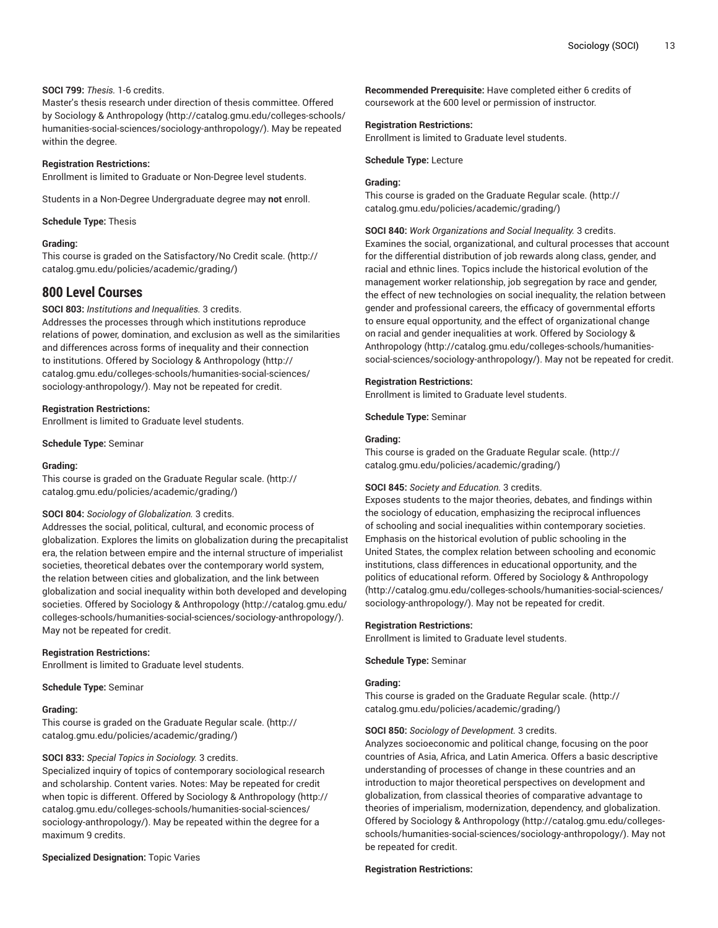# **SOCI 799:** *Thesis.* 1-6 credits.

Master's thesis research under direction of thesis committee. Offered by Sociology & [Anthropology](http://catalog.gmu.edu/colleges-schools/humanities-social-sciences/sociology-anthropology/) ([http://catalog.gmu.edu/colleges-schools/](http://catalog.gmu.edu/colleges-schools/humanities-social-sciences/sociology-anthropology/) [humanities-social-sciences/sociology-anthropology/\)](http://catalog.gmu.edu/colleges-schools/humanities-social-sciences/sociology-anthropology/). May be repeated within the degree.

## **Registration Restrictions:**

Enrollment is limited to Graduate or Non-Degree level students.

Students in a Non-Degree Undergraduate degree may **not** enroll.

#### **Schedule Type:** Thesis

#### **Grading:**

This course is graded on the [Satisfactory/No](http://catalog.gmu.edu/policies/academic/grading/) Credit scale. ([http://](http://catalog.gmu.edu/policies/academic/grading/) [catalog.gmu.edu/policies/academic/grading/\)](http://catalog.gmu.edu/policies/academic/grading/)

# **800 Level Courses**

#### **SOCI 803:** *Institutions and Inequalities.* 3 credits.

Addresses the processes through which institutions reproduce relations of power, domination, and exclusion as well as the similarities and differences across forms of inequality and their connection to institutions. Offered by Sociology & [Anthropology](http://catalog.gmu.edu/colleges-schools/humanities-social-sciences/sociology-anthropology/) ([http://](http://catalog.gmu.edu/colleges-schools/humanities-social-sciences/sociology-anthropology/) [catalog.gmu.edu/colleges-schools/humanities-social-sciences/](http://catalog.gmu.edu/colleges-schools/humanities-social-sciences/sociology-anthropology/) [sociology-anthropology/\)](http://catalog.gmu.edu/colleges-schools/humanities-social-sciences/sociology-anthropology/). May not be repeated for credit.

#### **Registration Restrictions:**

Enrollment is limited to Graduate level students.

**Schedule Type:** Seminar

#### **Grading:**

This course is graded on the [Graduate Regular scale.](http://catalog.gmu.edu/policies/academic/grading/) [\(http://](http://catalog.gmu.edu/policies/academic/grading/) [catalog.gmu.edu/policies/academic/grading/\)](http://catalog.gmu.edu/policies/academic/grading/)

# **SOCI 804:** *Sociology of Globalization.* 3 credits.

Addresses the social, political, cultural, and economic process of globalization. Explores the limits on globalization during the precapitalist era, the relation between empire and the internal structure of imperialist societies, theoretical debates over the contemporary world system, the relation between cities and globalization, and the link between globalization and social inequality within both developed and developing societies. Offered by Sociology & [Anthropology](http://catalog.gmu.edu/colleges-schools/humanities-social-sciences/sociology-anthropology/) ([http://catalog.gmu.edu/](http://catalog.gmu.edu/colleges-schools/humanities-social-sciences/sociology-anthropology/) [colleges-schools/humanities-social-sciences/sociology-anthropology/\)](http://catalog.gmu.edu/colleges-schools/humanities-social-sciences/sociology-anthropology/). May not be repeated for credit.

#### **Registration Restrictions:**

Enrollment is limited to Graduate level students.

**Schedule Type:** Seminar

# **Grading:**

This course is graded on the [Graduate Regular scale.](http://catalog.gmu.edu/policies/academic/grading/) [\(http://](http://catalog.gmu.edu/policies/academic/grading/) [catalog.gmu.edu/policies/academic/grading/\)](http://catalog.gmu.edu/policies/academic/grading/)

#### **SOCI 833:** *Special Topics in Sociology.* 3 credits.

Specialized inquiry of topics of contemporary sociological research and scholarship. Content varies. Notes: May be repeated for credit when topic is different. Offered by Sociology & [Anthropology](http://catalog.gmu.edu/colleges-schools/humanities-social-sciences/sociology-anthropology/) ([http://](http://catalog.gmu.edu/colleges-schools/humanities-social-sciences/sociology-anthropology/) [catalog.gmu.edu/colleges-schools/humanities-social-sciences/](http://catalog.gmu.edu/colleges-schools/humanities-social-sciences/sociology-anthropology/) [sociology-anthropology/\)](http://catalog.gmu.edu/colleges-schools/humanities-social-sciences/sociology-anthropology/). May be repeated within the degree for a maximum 9 credits.

# **Specialized Designation:** Topic Varies

**Recommended Prerequisite:** Have completed either 6 credits of coursework at the 600 level or permission of instructor.

#### **Registration Restrictions:**

Enrollment is limited to Graduate level students.

#### **Schedule Type:** Lecture

#### **Grading:**

This course is graded on the [Graduate Regular scale.](http://catalog.gmu.edu/policies/academic/grading/) ([http://](http://catalog.gmu.edu/policies/academic/grading/) [catalog.gmu.edu/policies/academic/grading/](http://catalog.gmu.edu/policies/academic/grading/))

# **SOCI 840:** *Work Organizations and Social Inequality.* 3 credits.

Examines the social, organizational, and cultural processes that account for the differential distribution of job rewards along class, gender, and racial and ethnic lines. Topics include the historical evolution of the management worker relationship, job segregation by race and gender, the effect of new technologies on social inequality, the relation between gender and professional careers, the efficacy of governmental efforts to ensure equal opportunity, and the effect of organizational change on racial and gender inequalities at work. Offered by [Sociology &](http://catalog.gmu.edu/colleges-schools/humanities-social-sciences/sociology-anthropology/) [Anthropology \(http://catalog.gmu.edu/colleges-schools/humanities](http://catalog.gmu.edu/colleges-schools/humanities-social-sciences/sociology-anthropology/)[social-sciences/sociology-anthropology/\)](http://catalog.gmu.edu/colleges-schools/humanities-social-sciences/sociology-anthropology/). May not be repeated for credit.

#### **Registration Restrictions:**

Enrollment is limited to Graduate level students.

**Schedule Type:** Seminar

#### **Grading:**

This course is graded on the [Graduate Regular scale.](http://catalog.gmu.edu/policies/academic/grading/) ([http://](http://catalog.gmu.edu/policies/academic/grading/) [catalog.gmu.edu/policies/academic/grading/](http://catalog.gmu.edu/policies/academic/grading/))

#### **SOCI 845:** *Society and Education.* 3 credits.

Exposes students to the major theories, debates, and findings within the sociology of education, emphasizing the reciprocal influences of schooling and social inequalities within contemporary societies. Emphasis on the historical evolution of public schooling in the United States, the complex relation between schooling and economic institutions, class differences in educational opportunity, and the politics of educational reform. Offered by Sociology & [Anthropology](http://catalog.gmu.edu/colleges-schools/humanities-social-sciences/sociology-anthropology/) [\(http://catalog.gmu.edu/colleges-schools/humanities-social-sciences/](http://catalog.gmu.edu/colleges-schools/humanities-social-sciences/sociology-anthropology/) [sociology-anthropology/](http://catalog.gmu.edu/colleges-schools/humanities-social-sciences/sociology-anthropology/)). May not be repeated for credit.

#### **Registration Restrictions:**

Enrollment is limited to Graduate level students.

**Schedule Type:** Seminar

# **Grading:**

This course is graded on the [Graduate Regular scale.](http://catalog.gmu.edu/policies/academic/grading/) ([http://](http://catalog.gmu.edu/policies/academic/grading/) [catalog.gmu.edu/policies/academic/grading/](http://catalog.gmu.edu/policies/academic/grading/))

#### **SOCI 850:** *Sociology of Development.* 3 credits.

Analyzes socioeconomic and political change, focusing on the poor countries of Asia, Africa, and Latin America. Offers a basic descriptive understanding of processes of change in these countries and an introduction to major theoretical perspectives on development and globalization, from classical theories of comparative advantage to theories of imperialism, modernization, dependency, and globalization. Offered by Sociology & [Anthropology](http://catalog.gmu.edu/colleges-schools/humanities-social-sciences/sociology-anthropology/) ([http://catalog.gmu.edu/colleges](http://catalog.gmu.edu/colleges-schools/humanities-social-sciences/sociology-anthropology/)[schools/humanities-social-sciences/sociology-anthropology/\)](http://catalog.gmu.edu/colleges-schools/humanities-social-sciences/sociology-anthropology/). May not be repeated for credit.

#### **Registration Restrictions:**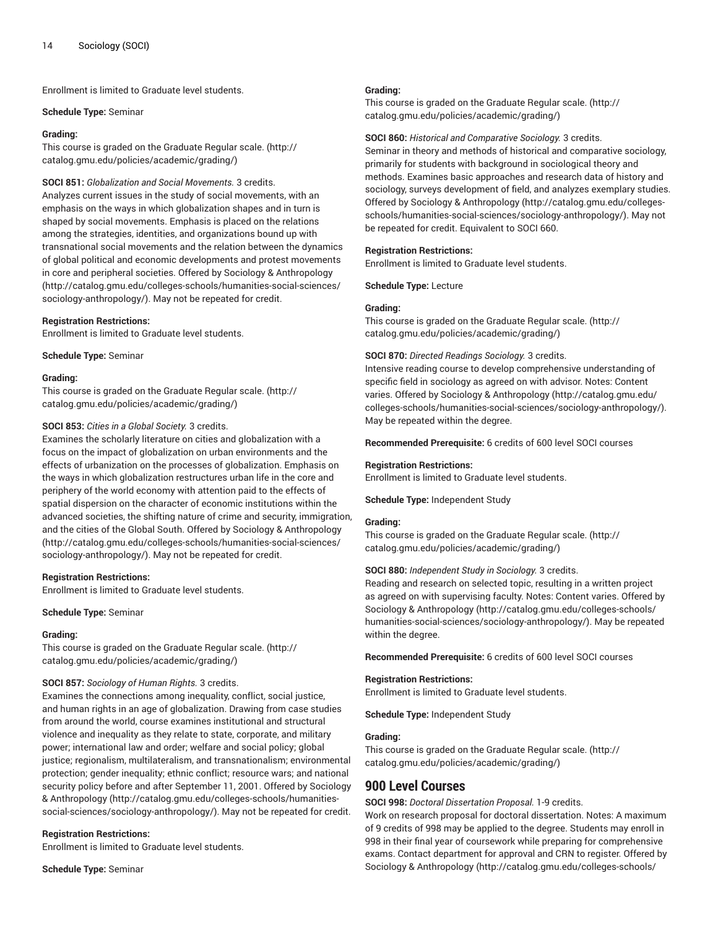Enrollment is limited to Graduate level students.

#### **Schedule Type:** Seminar

## **Grading:**

This course is graded on the [Graduate Regular scale.](http://catalog.gmu.edu/policies/academic/grading/) [\(http://](http://catalog.gmu.edu/policies/academic/grading/) [catalog.gmu.edu/policies/academic/grading/\)](http://catalog.gmu.edu/policies/academic/grading/)

# **SOCI 851:** *Globalization and Social Movements.* 3 credits.

Analyzes current issues in the study of social movements, with an emphasis on the ways in which globalization shapes and in turn is shaped by social movements. Emphasis is placed on the relations among the strategies, identities, and organizations bound up with transnational social movements and the relation between the dynamics of global political and economic developments and protest movements in core and peripheral societies. Offered by Sociology & [Anthropology](http://catalog.gmu.edu/colleges-schools/humanities-social-sciences/sociology-anthropology/) ([http://catalog.gmu.edu/colleges-schools/humanities-social-sciences/](http://catalog.gmu.edu/colleges-schools/humanities-social-sciences/sociology-anthropology/) [sociology-anthropology/\)](http://catalog.gmu.edu/colleges-schools/humanities-social-sciences/sociology-anthropology/). May not be repeated for credit.

# **Registration Restrictions:**

Enrollment is limited to Graduate level students.

**Schedule Type:** Seminar

#### **Grading:**

This course is graded on the [Graduate Regular scale.](http://catalog.gmu.edu/policies/academic/grading/) [\(http://](http://catalog.gmu.edu/policies/academic/grading/) [catalog.gmu.edu/policies/academic/grading/\)](http://catalog.gmu.edu/policies/academic/grading/)

# **SOCI 853:** *Cities in a Global Society.* 3 credits.

Examines the scholarly literature on cities and globalization with a focus on the impact of globalization on urban environments and the effects of urbanization on the processes of globalization. Emphasis on the ways in which globalization restructures urban life in the core and periphery of the world economy with attention paid to the effects of spatial dispersion on the character of economic institutions within the advanced societies, the shifting nature of crime and security, immigration, and the cities of the Global South. Offered by Sociology & [Anthropology](http://catalog.gmu.edu/colleges-schools/humanities-social-sciences/sociology-anthropology/) ([http://catalog.gmu.edu/colleges-schools/humanities-social-sciences/](http://catalog.gmu.edu/colleges-schools/humanities-social-sciences/sociology-anthropology/) [sociology-anthropology/\)](http://catalog.gmu.edu/colleges-schools/humanities-social-sciences/sociology-anthropology/). May not be repeated for credit.

# **Registration Restrictions:**

Enrollment is limited to Graduate level students.

**Schedule Type:** Seminar

# **Grading:**

This course is graded on the [Graduate Regular scale.](http://catalog.gmu.edu/policies/academic/grading/) [\(http://](http://catalog.gmu.edu/policies/academic/grading/) [catalog.gmu.edu/policies/academic/grading/\)](http://catalog.gmu.edu/policies/academic/grading/)

# **SOCI 857:** *Sociology of Human Rights.* 3 credits.

Examines the connections among inequality, conflict, social justice, and human rights in an age of globalization. Drawing from case studies from around the world, course examines institutional and structural violence and inequality as they relate to state, corporate, and military power; international law and order; welfare and social policy; global justice; regionalism, multilateralism, and transnationalism; environmental protection; gender inequality; ethnic conflict; resource wars; and national security policy before and after September 11, 2001. Offered by [Sociology](http://catalog.gmu.edu/colleges-schools/humanities-social-sciences/sociology-anthropology/) & [Anthropology](http://catalog.gmu.edu/colleges-schools/humanities-social-sciences/sociology-anthropology/) [\(http://catalog.gmu.edu/colleges-schools/humanities](http://catalog.gmu.edu/colleges-schools/humanities-social-sciences/sociology-anthropology/)[social-sciences/sociology-anthropology/](http://catalog.gmu.edu/colleges-schools/humanities-social-sciences/sociology-anthropology/)). May not be repeated for credit.

# **Registration Restrictions:**

Enrollment is limited to Graduate level students.

**Schedule Type:** Seminar

# **Grading:**

This course is graded on the [Graduate Regular scale.](http://catalog.gmu.edu/policies/academic/grading/) ([http://](http://catalog.gmu.edu/policies/academic/grading/) [catalog.gmu.edu/policies/academic/grading/](http://catalog.gmu.edu/policies/academic/grading/))

#### **SOCI 860:** *Historical and Comparative Sociology.* 3 credits.

Seminar in theory and methods of historical and comparative sociology, primarily for students with background in sociological theory and methods. Examines basic approaches and research data of history and sociology, surveys development of field, and analyzes exemplary studies. Offered by Sociology & [Anthropology](http://catalog.gmu.edu/colleges-schools/humanities-social-sciences/sociology-anthropology/) ([http://catalog.gmu.edu/colleges](http://catalog.gmu.edu/colleges-schools/humanities-social-sciences/sociology-anthropology/)[schools/humanities-social-sciences/sociology-anthropology/\)](http://catalog.gmu.edu/colleges-schools/humanities-social-sciences/sociology-anthropology/). May not be repeated for credit. Equivalent to SOCI 660.

# **Registration Restrictions:**

Enrollment is limited to Graduate level students.

**Schedule Type:** Lecture

#### **Grading:**

This course is graded on the [Graduate Regular scale.](http://catalog.gmu.edu/policies/academic/grading/) ([http://](http://catalog.gmu.edu/policies/academic/grading/) [catalog.gmu.edu/policies/academic/grading/](http://catalog.gmu.edu/policies/academic/grading/))

# **SOCI 870:** *Directed Readings Sociology.* 3 credits.

Intensive reading course to develop comprehensive understanding of specific field in sociology as agreed on with advisor. Notes: Content varies. Offered by Sociology & [Anthropology \(http://catalog.gmu.edu/](http://catalog.gmu.edu/colleges-schools/humanities-social-sciences/sociology-anthropology/) [colleges-schools/humanities-social-sciences/sociology-anthropology/\)](http://catalog.gmu.edu/colleges-schools/humanities-social-sciences/sociology-anthropology/). May be repeated within the degree.

**Recommended Prerequisite:** 6 credits of 600 level SOCI courses

## **Registration Restrictions:**

Enrollment is limited to Graduate level students.

**Schedule Type:** Independent Study

#### **Grading:**

This course is graded on the [Graduate Regular scale.](http://catalog.gmu.edu/policies/academic/grading/) ([http://](http://catalog.gmu.edu/policies/academic/grading/) [catalog.gmu.edu/policies/academic/grading/](http://catalog.gmu.edu/policies/academic/grading/))

# **SOCI 880:** *Independent Study in Sociology.* 3 credits.

Reading and research on selected topic, resulting in a written project as agreed on with supervising faculty. Notes: Content varies. Offered by Sociology & [Anthropology](http://catalog.gmu.edu/colleges-schools/humanities-social-sciences/sociology-anthropology/) ([http://catalog.gmu.edu/colleges-schools/](http://catalog.gmu.edu/colleges-schools/humanities-social-sciences/sociology-anthropology/) [humanities-social-sciences/sociology-anthropology/](http://catalog.gmu.edu/colleges-schools/humanities-social-sciences/sociology-anthropology/)). May be repeated within the degree.

**Recommended Prerequisite:** 6 credits of 600 level SOCI courses

# **Registration Restrictions:**

Enrollment is limited to Graduate level students.

**Schedule Type:** Independent Study

# **Grading:**

This course is graded on the [Graduate Regular scale.](http://catalog.gmu.edu/policies/academic/grading/) ([http://](http://catalog.gmu.edu/policies/academic/grading/) [catalog.gmu.edu/policies/academic/grading/](http://catalog.gmu.edu/policies/academic/grading/))

# **900 Level Courses**

**SOCI 998:** *Doctoral Dissertation Proposal.* 1-9 credits.

Work on research proposal for doctoral dissertation. Notes: A maximum of 9 credits of 998 may be applied to the degree. Students may enroll in 998 in their final year of coursework while preparing for comprehensive exams. Contact department for approval and CRN to register. Offered by Sociology & [Anthropology](http://catalog.gmu.edu/colleges-schools/humanities-social-sciences/sociology-anthropology/) ([http://catalog.gmu.edu/colleges-schools/](http://catalog.gmu.edu/colleges-schools/humanities-social-sciences/sociology-anthropology/)